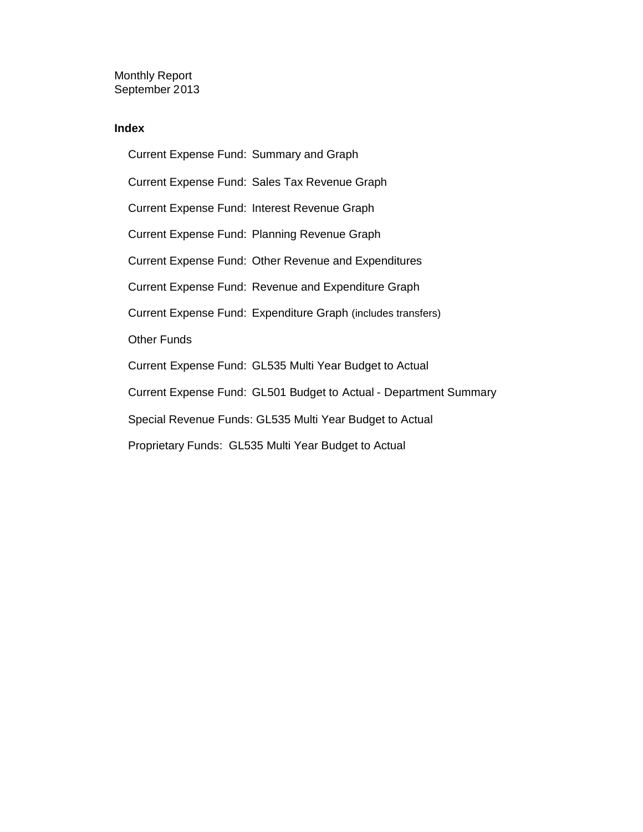Monthly Report September 2013

#### **Index**

Current Expense Fund: Summary and Graph Current Expense Fund: Sales Tax Revenue Graph Current Expense Fund: Interest Revenue Graph Current Expense Fund: Planning Revenue Graph Current Expense Fund: Other Revenue and Expenditures Current Expense Fund: Revenue and Expenditure Graph Current Expense Fund: Expenditure Graph (includes transfers) Other Funds Current Expense Fund: GL535 Multi Year Budget to Actual Current Expense Fund: GL501 Budget to Actual - Department Summary Special Revenue Funds: GL535 Multi Year Budget to Actual Proprietary Funds: GL535 Multi Year Budget to Actual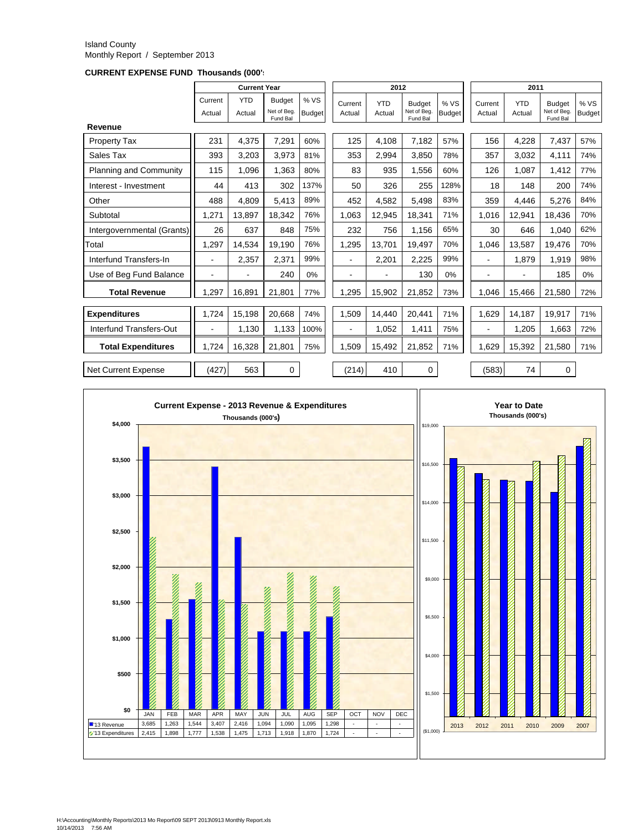#### Island County Monthly Report / September 2013

**CURRENT EXPENSE FUND Thousands (000's)**

|                               |                   | <b>Current Year</b>  |                                         |                      |                          | 2012                 |                                          |                       |                   |                      | 2011                                     |                       |  |
|-------------------------------|-------------------|----------------------|-----------------------------------------|----------------------|--------------------------|----------------------|------------------------------------------|-----------------------|-------------------|----------------------|------------------------------------------|-----------------------|--|
|                               | Current<br>Actual | <b>YTD</b><br>Actual | <b>Budget</b><br>Net of Beg<br>Fund Bal | %VS<br><b>Budget</b> | Current<br>Actual        | <b>YTD</b><br>Actual | <b>Budget</b><br>Net of Beg.<br>Fund Bal | % VS<br><b>Budget</b> | Current<br>Actual | <b>YTD</b><br>Actual | <b>Budget</b><br>Net of Beg.<br>Fund Bal | % VS<br><b>Budget</b> |  |
| Revenue                       |                   |                      |                                         |                      |                          |                      |                                          |                       |                   |                      |                                          |                       |  |
| Property Tax                  | 231               | 4,375                | 7,291                                   | 60%                  | 125                      | 4,108                | 7,182                                    | 57%                   | 156               | 4,228                | 7,437                                    | 57%                   |  |
| Sales Tax                     | 393               | 3.203                | 3,973                                   | 81%                  | 353                      | 2.994                | 3.850                                    | 78%                   | 357               | 3.032                | 4,111                                    | 74%                   |  |
| <b>Planning and Community</b> | 115               | 1,096                | 1,363                                   | 80%                  | 83                       | 935                  | 1.556                                    | 60%                   | 126               | 1,087                | 1,412                                    | 77%                   |  |
| Interest - Investment         | 44                | 413                  | 302                                     | 137%                 | 50                       | 326                  | 255                                      | 128%                  | 18                | 148                  | 200                                      | 74%                   |  |
| Other                         | 488               | 4.809                | 5,413                                   | 89%                  | 452                      | 4,582                | 5.498                                    | 83%                   | 359               | 4,446                | 5,276                                    | 84%                   |  |
| Subtotal                      | 1,271             | 13.897               | 18.342                                  | 76%                  | 1.063                    | 12,945               | 18.341                                   | 71%                   | 1.016             | 12,941               | 18.436                                   | 70%                   |  |
| Intergovernmental (Grants)    | 26                | 637                  | 848                                     | 75%                  | 232                      | 756                  | 1,156                                    | 65%                   | 30                | 646                  | 1.040                                    | 62%                   |  |
| Total                         | 1.297             | 14.534               | 19.190                                  | 76%                  | 1.295                    | 13.701               | 19.497                                   | 70%                   | 1,046             | 13.587               | 19.476                                   | 70%                   |  |
| Interfund Transfers-In        | $\blacksquare$    | 2,357                | 2,371                                   | 99%                  |                          | 2,201                | 2,225                                    | 99%                   |                   | 1,879                | 1,919                                    | 98%                   |  |
| Use of Beg Fund Balance       | $\blacksquare$    |                      | 240                                     | 0%                   |                          |                      | 130                                      | 0%                    | ۰                 |                      | 185                                      | 0%                    |  |
| <b>Total Revenue</b>          | 1,297             | 16,891               | 21,801                                  | 77%                  | 1,295                    | 15,902               | 21,852                                   | 73%                   | 1.046             | 15,466               | 21,580                                   | 72%                   |  |
| <b>Expenditures</b>           | 1,724             | 15,198               | 20.668                                  | 74%                  | 1,509                    | 14.440               | 20.441                                   | 71%                   | 1.629             | 14,187               | 19.917                                   | 71%                   |  |
| Interfund Transfers-Out       | $\blacksquare$    | 1,130                | 1,133                                   | 100%                 | $\overline{\phantom{a}}$ | 1,052                | 1,411                                    | 75%                   | ٠                 | 1,205                | 1,663                                    | 72%                   |  |
| <b>Total Expenditures</b>     | 1.724             | 16.328               | 21,801                                  | 75%                  | 1.509                    | 15,492               | 21,852                                   | 71%                   | 1,629             | 15,392               | 21,580                                   | 71%                   |  |
| <b>Net Current Expense</b>    | (427)             | 563                  | 0                                       |                      | (214)                    | 410                  | 0                                        |                       | (583)             | 74                   | 0                                        |                       |  |

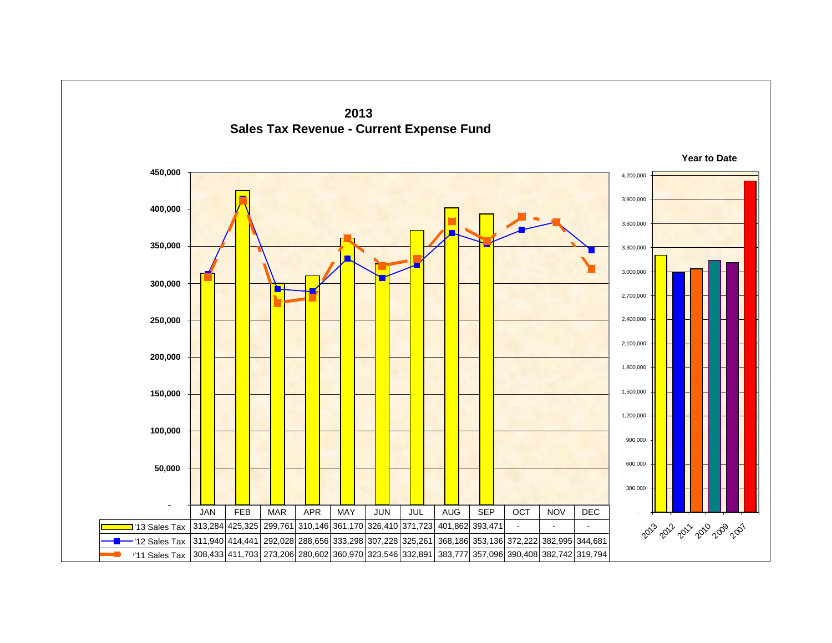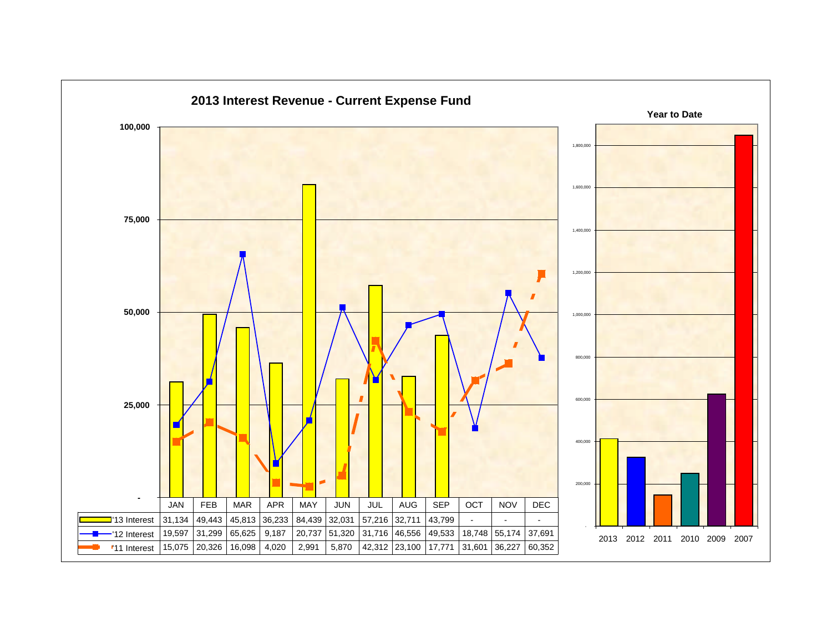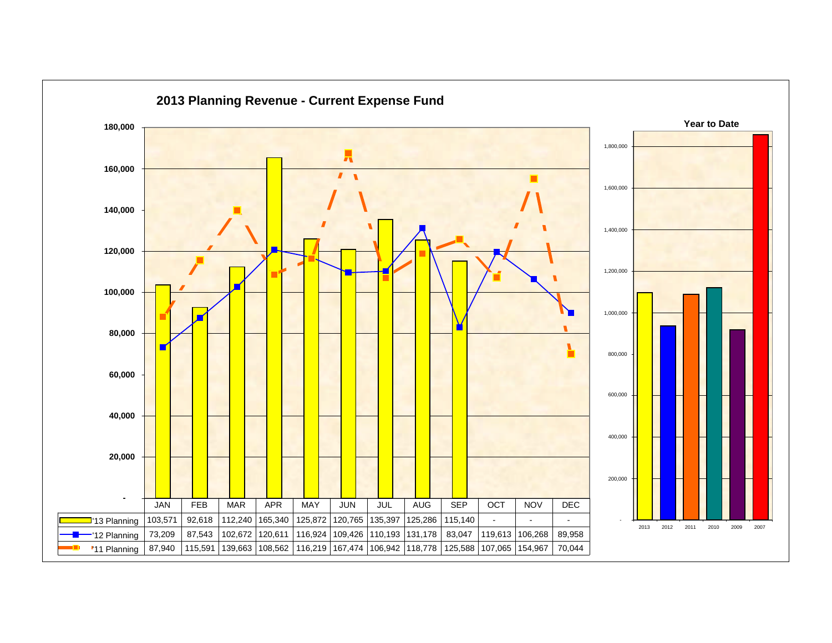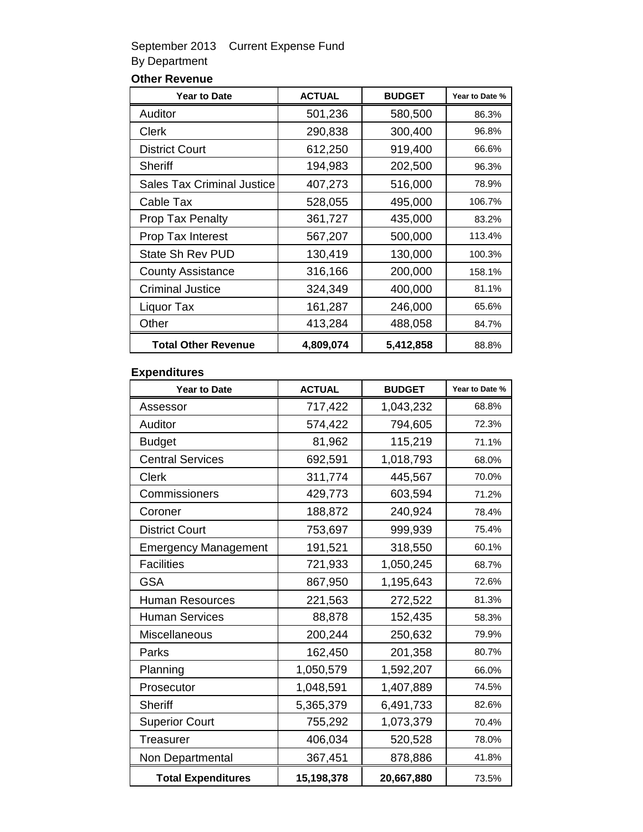### September 2013 Current Expense Fund By Department

### **Other Revenue**

| <b>Year to Date</b>               | <b>ACTUAL</b> | <b>BUDGET</b> | Year to Date % |
|-----------------------------------|---------------|---------------|----------------|
| Auditor                           | 501,236       | 580,500       | 86.3%          |
| Clerk                             | 290,838       | 300,400       | 96.8%          |
| <b>District Court</b>             | 612,250       | 919,400       | 66.6%          |
| Sheriff                           | 194,983       | 202,500       | 96.3%          |
| <b>Sales Tax Criminal Justice</b> | 407,273       | 516,000       | 78.9%          |
| Cable Tax                         | 528,055       | 495,000       | 106.7%         |
| <b>Prop Tax Penalty</b>           | 361,727       | 435,000       | 83.2%          |
| Prop Tax Interest                 | 567,207       | 500,000       | 113.4%         |
| State Sh Rev PUD                  | 130,419       | 130,000       | 100.3%         |
| <b>County Assistance</b>          | 316,166       | 200,000       | 158.1%         |
| <b>Criminal Justice</b>           | 324,349       | 400,000       | 81.1%          |
| Liquor Tax                        | 161,287       | 246,000       | 65.6%          |
| Other                             | 413,284       | 488,058       | 84.7%          |
| <b>Total Other Revenue</b>        | 4,809,074     | 5,412,858     | 88.8%          |

#### **Expenditures**

| <b>Year to Date</b>         | <b>ACTUAL</b> | <b>BUDGET</b> | Year to Date % |
|-----------------------------|---------------|---------------|----------------|
| Assessor                    | 717,422       | 1,043,232     | 68.8%          |
| Auditor                     | 574,422       | 794,605       | 72.3%          |
| <b>Budget</b>               | 81,962        | 115,219       | 71.1%          |
| <b>Central Services</b>     | 692,591       | 1,018,793     | 68.0%          |
| Clerk                       | 311,774       | 445,567       | 70.0%          |
| Commissioners               | 429,773       | 603,594       | 71.2%          |
| Coroner                     | 188,872       | 240,924       | 78.4%          |
| <b>District Court</b>       | 753,697       | 999,939       | 75.4%          |
| <b>Emergency Management</b> | 191,521       | 318,550       | 60.1%          |
| <b>Facilities</b>           | 721,933       | 1,050,245     | 68.7%          |
| <b>GSA</b>                  | 867,950       | 1,195,643     | 72.6%          |
| <b>Human Resources</b>      | 221,563       | 272,522       | 81.3%          |
| <b>Human Services</b>       | 88,878        | 152,435       | 58.3%          |
| Miscellaneous               | 200,244       | 250,632       | 79.9%          |
| Parks                       | 162,450       | 201,358       | 80.7%          |
| Planning                    | 1,050,579     | 1,592,207     | 66.0%          |
| Prosecutor                  | 1,048,591     | 1,407,889     | 74.5%          |
| <b>Sheriff</b>              | 5,365,379     | 6,491,733     | 82.6%          |
| <b>Superior Court</b>       | 755,292       | 1,073,379     | 70.4%          |
| <b>Treasurer</b>            | 406,034       | 520,528       | 78.0%          |
| Non Departmental            | 367,451       | 878,886       | 41.8%          |
| <b>Total Expenditures</b>   | 15,198,378    | 20,667,880    | 73.5%          |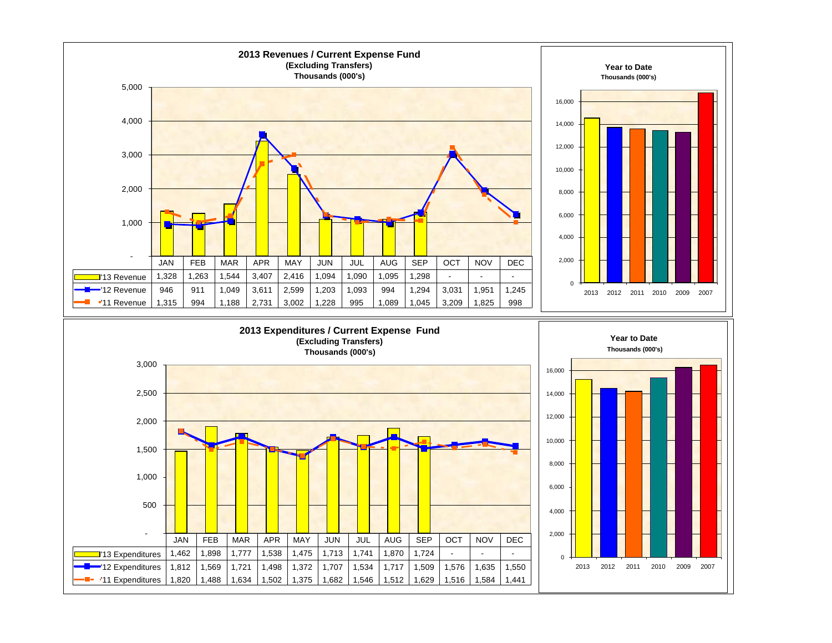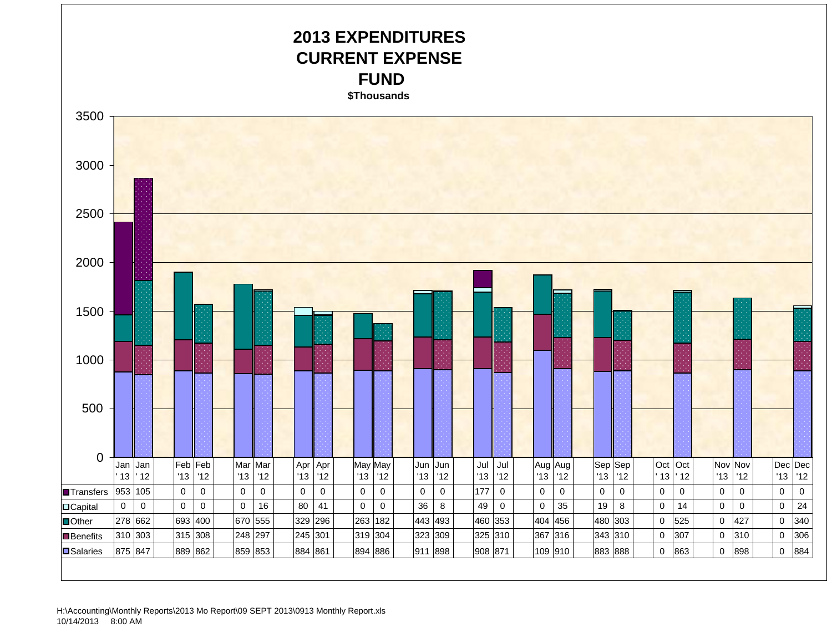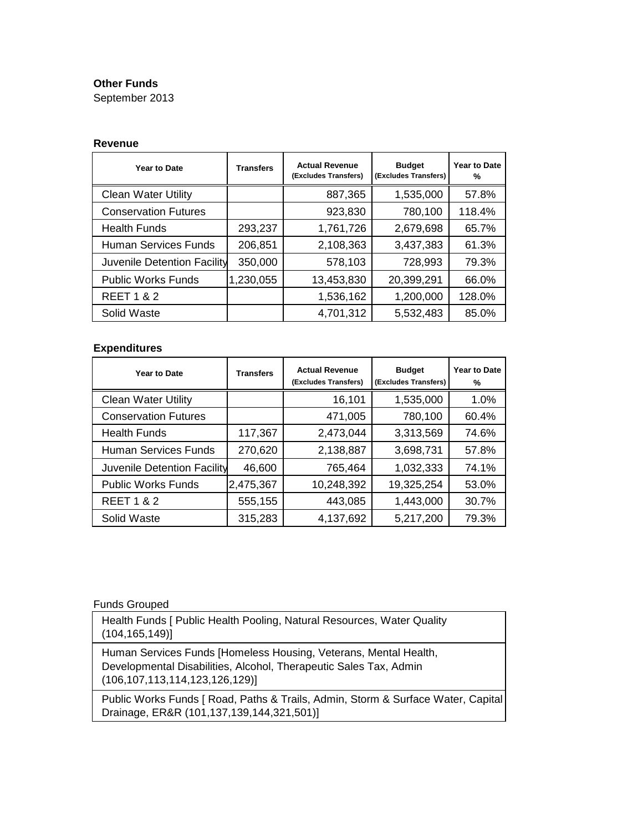#### **Other Funds**

September 2013

#### **Revenue**

| Year to Date                | <b>Transfers</b> | <b>Actual Revenue</b><br>(Excludes Transfers) | <b>Budget</b><br>(Excludes Transfers) | Year to Date<br>℅ |
|-----------------------------|------------------|-----------------------------------------------|---------------------------------------|-------------------|
| <b>Clean Water Utility</b>  |                  | 887,365                                       | 1,535,000                             | 57.8%             |
| <b>Conservation Futures</b> |                  | 923,830                                       | 780,100                               | 118.4%            |
| <b>Health Funds</b>         | 293,237          | 1,761,726                                     | 2,679,698                             | 65.7%             |
| <b>Human Services Funds</b> | 206,851          | 2,108,363                                     | 3,437,383                             | 61.3%             |
| Juvenile Detention Facility | 350,000          | 578,103                                       | 728,993                               | 79.3%             |
| <b>Public Works Funds</b>   | 1,230,055        | 13,453,830                                    | 20,399,291                            | 66.0%             |
| <b>REET 1 &amp; 2</b>       |                  | 1,536,162                                     | 1,200,000                             | 128.0%            |
| Solid Waste                 |                  | 4,701,312                                     | 5,532,483                             | 85.0%             |

#### **Expenditures**

| Year to Date                | <b>Transfers</b> | <b>Actual Revenue</b><br>(Excludes Transfers) | <b>Budget</b><br>(Excludes Transfers) | <b>Year to Date</b><br>℅ |
|-----------------------------|------------------|-----------------------------------------------|---------------------------------------|--------------------------|
| <b>Clean Water Utility</b>  |                  | 16,101                                        | 1,535,000                             | 1.0%                     |
| <b>Conservation Futures</b> |                  | 471,005                                       | 780,100                               | 60.4%                    |
| <b>Health Funds</b>         | 117,367          | 2,473,044                                     | 3,313,569                             | 74.6%                    |
| <b>Human Services Funds</b> | 270,620          | 2,138,887                                     | 3,698,731                             | 57.8%                    |
| Juvenile Detention Facility | 46,600           | 765,464                                       | 1,032,333                             | 74.1%                    |
| <b>Public Works Funds</b>   | 2,475,367        | 10,248,392                                    | 19,325,254                            | 53.0%                    |
| <b>REET 1 &amp; 2</b>       | 555,155          | 443,085                                       | 1,443,000                             | 30.7%                    |
| Solid Waste                 | 315,283          | 4,137,692                                     | 5,217,200                             | 79.3%                    |

#### Funds Grouped

Health Funds [ Public Health Pooling, Natural Resources, Water Quality (104,165,149)]

Human Services Funds [Homeless Housing, Veterans, Mental Health, Developmental Disabilities, Alcohol, Therapeutic Sales Tax, Admin (106,107,113,114,123,126,129)]

Public Works Funds [ Road, Paths & Trails, Admin, Storm & Surface Water, Capital Drainage, ER&R (101,137,139,144,321,501)]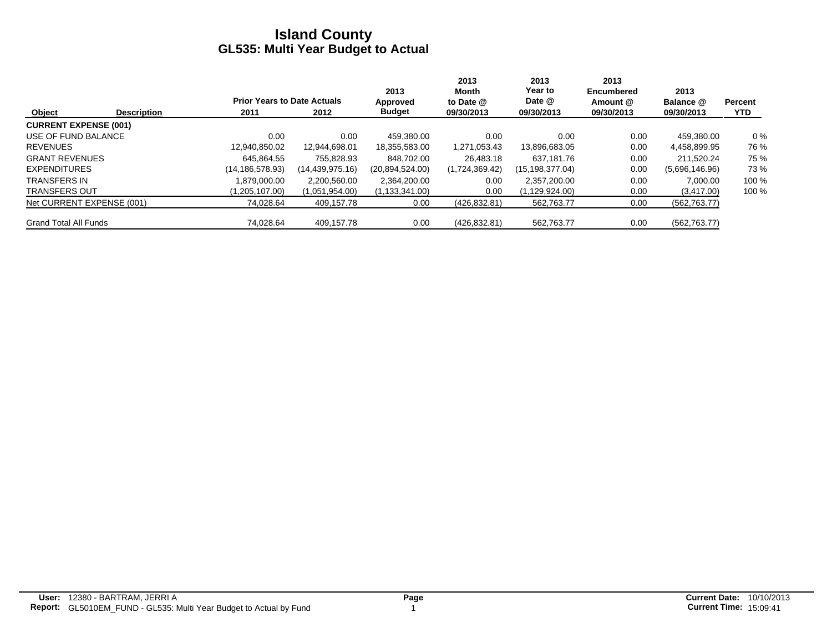|                              |                    |                                    |                 | 2013             | 2013<br>Month  | 2013<br>Year to | 2013<br><b>Encumbered</b> | 2013           |            |
|------------------------------|--------------------|------------------------------------|-----------------|------------------|----------------|-----------------|---------------------------|----------------|------------|
|                              |                    | <b>Prior Years to Date Actuals</b> |                 | Approved         | to Date @      | Date @          | Amount @                  | Balance @      | Percent    |
| Object                       | <b>Description</b> | 2011                               | 2012            | <b>Budget</b>    | 09/30/2013     | 09/30/2013      | 09/30/2013                | 09/30/2013     | <b>YTD</b> |
| <b>CURRENT EXPENSE (001)</b> |                    |                                    |                 |                  |                |                 |                           |                |            |
| USE OF FUND BALANCE          |                    | 0.00                               | 0.00            | 459.380.00       | 0.00           | 0.00            | 0.00                      | 459.380.00     | $0\%$      |
| <b>REVENUES</b>              |                    | 12,940,850.02                      | 12.944.698.01   | 18,355,583.00    | 1,271,053.43   | 13,896,683.05   | 0.00                      | 4,458,899.95   | 76 %       |
| <b>GRANT REVENUES</b>        |                    | 645.864.55                         | 755.828.93      | 848.702.00       | 26.483.18      | 637.181.76      | 0.00                      | 211.520.24     | 75 %       |
| <b>EXPENDITURES</b>          |                    | (14, 186, 578.93)                  | (14,439,975.16) | (20.894.524.00)  | (1,724,369.42) | (15,198,377.04) | 0.00                      | (5,696,146.96) | 73%        |
| TRANSFERS IN                 |                    | 1.879.000.00                       | 2.200.560.00    | 2,364,200.00     | 0.00           | 2.357.200.00    | 0.00                      | 7.000.00       | 100 %      |
| <b>TRANSFERS OUT</b>         |                    | (1,205,107.00)                     | (1,051,954.00)  | (1, 133, 341.00) | 0.00           | (1,129,924.00)  | 0.00                      | (3, 417.00)    | 100 %      |
| Net CURRENT EXPENSE (001)    |                    | 74.028.64                          | 409.157.78      | 0.00             | (426, 832.81)  | 562.763.77      | 0.00                      | (562, 763.77)  |            |
| <b>Grand Total All Funds</b> |                    | 74.028.64                          | 409.157.78      | 0.00             | (426, 832.81)  | 562,763.77      | 0.00                      | (562, 763.77)  |            |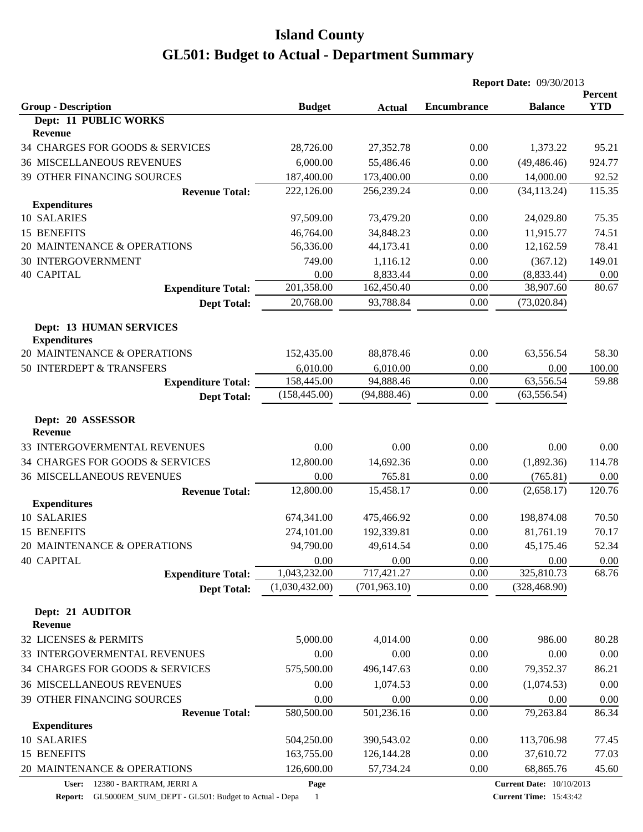|                                                       |                |               |                    | <b>Report Date: 09/30/2013</b>  |                       |
|-------------------------------------------------------|----------------|---------------|--------------------|---------------------------------|-----------------------|
| <b>Group - Description</b>                            | <b>Budget</b>  | <b>Actual</b> | <b>Encumbrance</b> | <b>Balance</b>                  | Percent<br><b>YTD</b> |
| Dept: 11 PUBLIC WORKS                                 |                |               |                    |                                 |                       |
| Revenue                                               |                |               |                    |                                 |                       |
| 34 CHARGES FOR GOODS & SERVICES                       | 28,726.00      | 27,352.78     | 0.00               | 1,373.22                        | 95.21                 |
| <b>36 MISCELLANEOUS REVENUES</b>                      | 6,000.00       | 55,486.46     | 0.00               | (49, 486.46)                    | 924.77                |
| 39 OTHER FINANCING SOURCES                            | 187,400.00     | 173,400.00    | 0.00               | 14,000.00                       | 92.52                 |
| <b>Revenue Total:</b>                                 | 222,126.00     | 256,239.24    | 0.00               | (34, 113.24)                    | 115.35                |
| <b>Expenditures</b>                                   |                |               |                    |                                 |                       |
| 10 SALARIES                                           | 97,509.00      | 73,479.20     | 0.00               | 24,029.80                       | 75.35                 |
| 15 BENEFITS                                           | 46,764.00      | 34,848.23     | 0.00               | 11,915.77                       | 74.51                 |
| 20 MAINTENANCE & OPERATIONS                           | 56,336.00      | 44,173.41     | 0.00               | 12,162.59                       | 78.41                 |
| <b>30 INTERGOVERNMENT</b>                             | 749.00         | 1,116.12      | 0.00               | (367.12)                        | 149.01                |
| <b>40 CAPITAL</b>                                     | 0.00           | 8,833.44      | 0.00               | (8,833.44)                      | 0.00                  |
| <b>Expenditure Total:</b>                             | 201,358.00     | 162,450.40    | 0.00               | 38,907.60                       | 80.67                 |
| <b>Dept Total:</b>                                    | 20,768.00      | 93,788.84     | 0.00               | (73,020.84)                     |                       |
| <b>Dept: 13 HUMAN SERVICES</b><br><b>Expenditures</b> |                |               |                    |                                 |                       |
| 20 MAINTENANCE & OPERATIONS                           | 152,435.00     | 88,878.46     | 0.00               | 63,556.54                       | 58.30                 |
| 50 INTERDEPT & TRANSFERS                              | 6,010.00       | 6,010.00      | 0.00               | 0.00                            | 100.00                |
| <b>Expenditure Total:</b>                             | 158,445.00     | 94,888.46     | 0.00               | 63,556.54                       | 59.88                 |
| <b>Dept Total:</b>                                    | (158, 445.00)  | (94,888.46)   | 0.00               | (63, 556.54)                    |                       |
| Dept: 20 ASSESSOR<br><b>Revenue</b>                   |                |               |                    |                                 |                       |
| 33 INTERGOVERMENTAL REVENUES                          | 0.00           | 0.00          | 0.00               | 0.00                            | 0.00                  |
| 34 CHARGES FOR GOODS & SERVICES                       | 12,800.00      | 14,692.36     | 0.00               | (1,892.36)                      | 114.78                |
| <b>36 MISCELLANEOUS REVENUES</b>                      | 0.00           | 765.81        | 0.00               | (765.81)                        | 0.00                  |
| <b>Revenue Total:</b>                                 | 12,800.00      | 15,458.17     | 0.00               | (2,658.17)                      | 120.76                |
| <b>Expenditures</b>                                   |                |               |                    |                                 |                       |
| 10 SALARIES                                           | 674,341.00     | 475,466.92    | 0.00               | 198,874.08                      | 70.50                 |
| 15 BENEFITS                                           | 274,101.00     | 192,339.81    | 0.00               | 81,761.19                       | 70.17                 |
| 20 MAINTENANCE & OPERATIONS                           | 94,790.00      | 49,614.54     | 0.00               | 45,175.46                       | 52.34                 |
| <b>40 CAPITAL</b>                                     | 0.00           | 0.00          | 0.00               | 0.00                            | 0.00                  |
| <b>Expenditure Total:</b>                             | 1,043,232.00   | 717,421.27    | 0.00               | 325,810.73                      | 68.76                 |
| <b>Dept Total:</b>                                    | (1,030,432.00) | (701, 963.10) | 0.00               | (328, 468.90)                   |                       |
| Dept: 21 AUDITOR<br><b>Revenue</b>                    |                |               |                    |                                 |                       |
| 32 LICENSES & PERMITS                                 | 5,000.00       | 4,014.00      | 0.00               | 986.00                          | 80.28                 |
| 33 INTERGOVERMENTAL REVENUES                          | 0.00           | 0.00          | 0.00               | 0.00                            | 0.00                  |
| 34 CHARGES FOR GOODS & SERVICES                       | 575,500.00     | 496,147.63    | 0.00               | 79,352.37                       | 86.21                 |
| <b>36 MISCELLANEOUS REVENUES</b>                      | 0.00           | 1,074.53      | 0.00               | (1,074.53)                      | 0.00                  |
| 39 OTHER FINANCING SOURCES                            | 0.00           | 0.00          | 0.00               | 0.00                            | 0.00                  |
| <b>Revenue Total:</b>                                 | 580,500.00     | 501,236.16    | 0.00               | 79,263.84                       | 86.34                 |
| <b>Expenditures</b>                                   |                |               |                    |                                 |                       |
| 10 SALARIES                                           | 504,250.00     | 390,543.02    | 0.00               | 113,706.98                      | 77.45                 |
| 15 BENEFITS                                           | 163,755.00     | 126, 144. 28  | 0.00               | 37,610.72                       | 77.03                 |
| 20 MAINTENANCE & OPERATIONS                           | 126,600.00     | 57,734.24     | 0.00               | 68,865.76                       | 45.60                 |
| User: 12380 - BARTRAM, JERRI A                        | Page           |               |                    | <b>Current Date: 10/10/2013</b> |                       |

**Report:** GL5000EM\_SUM\_DEPT - GL501: Budget to Actual - Depa 1

**Current Time:** 15:43:42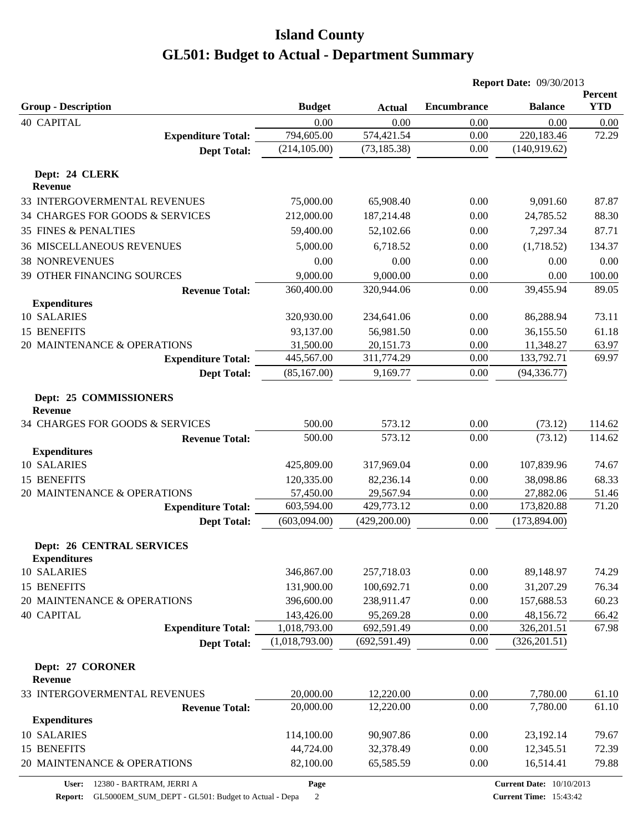|                                                         |                |               |                    | <b>Report Date: 09/30/2013</b> |                       |
|---------------------------------------------------------|----------------|---------------|--------------------|--------------------------------|-----------------------|
| <b>Group - Description</b>                              | <b>Budget</b>  | <b>Actual</b> | <b>Encumbrance</b> | <b>Balance</b>                 | Percent<br><b>YTD</b> |
| <b>40 CAPITAL</b>                                       | 0.00           | 0.00          | 0.00               | 0.00                           | 0.00                  |
| <b>Expenditure Total:</b>                               | 794,605.00     | 574,421.54    | 0.00               | 220,183.46                     | 72.29                 |
| <b>Dept Total:</b>                                      | (214, 105.00)  | (73, 185.38)  | 0.00               | (140, 919.62)                  |                       |
| Dept: 24 CLERK<br><b>Revenue</b>                        |                |               |                    |                                |                       |
| 33 INTERGOVERMENTAL REVENUES                            | 75,000.00      | 65,908.40     | 0.00               | 9,091.60                       | 87.87                 |
| 34 CHARGES FOR GOODS & SERVICES                         | 212,000.00     | 187,214.48    | 0.00               | 24,785.52                      | 88.30                 |
| <b>35 FINES &amp; PENALTIES</b>                         | 59,400.00      | 52,102.66     | 0.00               | 7,297.34                       | 87.71                 |
| <b>36 MISCELLANEOUS REVENUES</b>                        | 5,000.00       | 6,718.52      | 0.00               | (1,718.52)                     | 134.37                |
| <b>38 NONREVENUES</b>                                   | 0.00           | 0.00          | 0.00               | 0.00                           | 0.00                  |
| 39 OTHER FINANCING SOURCES                              | 9,000.00       | 9,000.00      | 0.00               | 0.00                           | 100.00                |
| <b>Revenue Total:</b>                                   | 360,400.00     | 320,944.06    | 0.00               | 39,455.94                      | 89.05                 |
| <b>Expenditures</b>                                     |                |               |                    |                                |                       |
| 10 SALARIES                                             | 320,930.00     | 234,641.06    | 0.00               | 86,288.94                      | 73.11                 |
| 15 BENEFITS                                             | 93,137.00      | 56,981.50     | 0.00               | 36,155.50                      | 61.18                 |
| 20 MAINTENANCE & OPERATIONS                             | 31,500.00      | 20,151.73     | 0.00               | 11,348.27                      | 63.97                 |
| <b>Expenditure Total:</b>                               | 445,567.00     | 311,774.29    | 0.00               | 133,792.71                     | 69.97                 |
| <b>Dept Total:</b>                                      | (85, 167.00)   | 9,169.77      | 0.00               | (94, 336.77)                   |                       |
| Dept: 25 COMMISSIONERS<br><b>Revenue</b>                |                |               |                    |                                |                       |
| 34 CHARGES FOR GOODS & SERVICES                         | 500.00         | 573.12        | 0.00               | (73.12)                        | 114.62                |
| <b>Revenue Total:</b>                                   | 500.00         | 573.12        | 0.00               | (73.12)                        | 114.62                |
| <b>Expenditures</b>                                     |                |               |                    |                                |                       |
| 10 SALARIES                                             | 425,809.00     | 317,969.04    | 0.00               | 107,839.96                     | 74.67                 |
| 15 BENEFITS                                             | 120,335.00     | 82,236.14     | 0.00               | 38,098.86                      | 68.33                 |
| 20 MAINTENANCE & OPERATIONS                             | 57,450.00      | 29,567.94     | 0.00               | 27,882.06                      | 51.46                 |
| <b>Expenditure Total:</b>                               | 603,594.00     | 429,773.12    | 0.00               | 173,820.88                     | 71.20                 |
| <b>Dept Total:</b>                                      | (603,094.00)   | (429, 200.00) | 0.00               | (173, 894.00)                  |                       |
| <b>Dept: 26 CENTRAL SERVICES</b><br><b>Expenditures</b> |                |               |                    |                                |                       |
| 10 SALARIES                                             | 346,867.00     | 257,718.03    | 0.00               | 89,148.97                      | 74.29                 |
| 15 BENEFITS                                             | 131,900.00     | 100,692.71    | 0.00               | 31,207.29                      | 76.34                 |
| 20 MAINTENANCE & OPERATIONS                             | 396,600.00     | 238,911.47    | 0.00               | 157,688.53                     | 60.23                 |
| <b>40 CAPITAL</b>                                       | 143,426.00     | 95,269.28     | 0.00               | 48,156.72                      | 66.42                 |
| <b>Expenditure Total:</b>                               | 1,018,793.00   | 692,591.49    | 0.00               | 326,201.51                     | 67.98                 |
| <b>Dept Total:</b>                                      | (1,018,793.00) | (692, 591.49) | 0.00               | (326, 201.51)                  |                       |
| Dept: 27 CORONER<br><b>Revenue</b>                      |                |               |                    |                                |                       |
| 33 INTERGOVERMENTAL REVENUES                            | 20,000.00      | 12,220.00     | 0.00               | 7,780.00                       | 61.10                 |
| <b>Revenue Total:</b>                                   | 20,000.00      | 12,220.00     | 0.00               | 7,780.00                       | 61.10                 |
| <b>Expenditures</b>                                     |                |               |                    |                                |                       |
| 10 SALARIES                                             | 114,100.00     | 90,907.86     | 0.00               | 23,192.14                      | 79.67                 |
| 15 BENEFITS                                             | 44,724.00      | 32,378.49     | 0.00               | 12,345.51                      | 72.39                 |
| 20 MAINTENANCE & OPERATIONS                             | 82,100.00      | 65,585.59     | 0.00               | 16,514.41                      | 79.88                 |
|                                                         |                |               |                    |                                |                       |

**User:** 12380 - BARTRAM, JERRI A **Report:** GL5000EM\_SUM\_DEPT - GL501: Budget to Actual - Depa 2

**Page**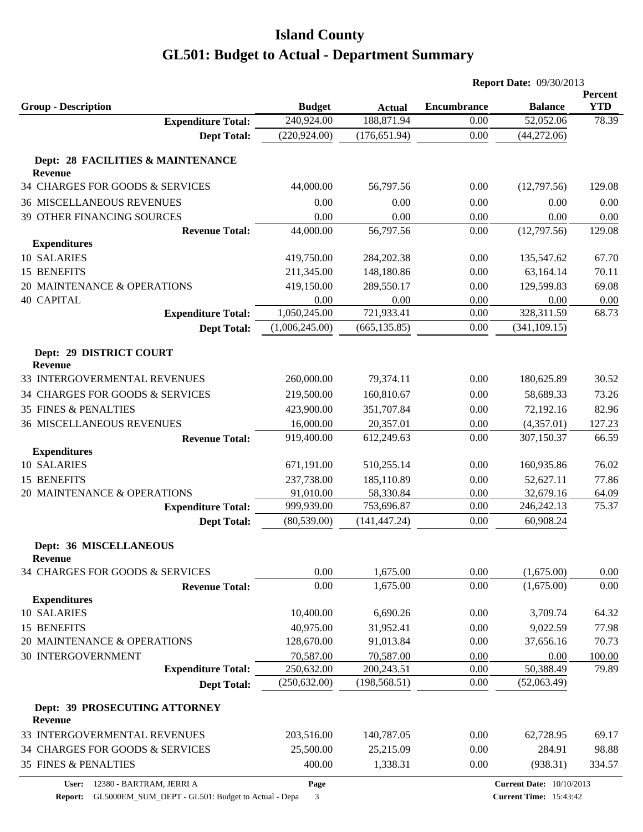|                                                     |                |               |             | <b>Report Date: 09/30/2013</b> |                       |
|-----------------------------------------------------|----------------|---------------|-------------|--------------------------------|-----------------------|
| <b>Group - Description</b>                          | <b>Budget</b>  | <b>Actual</b> | Encumbrance | <b>Balance</b>                 | Percent<br><b>YTD</b> |
| <b>Expenditure Total:</b>                           | 240,924.00     | 188,871.94    | 0.00        | 52,052.06                      | 78.39                 |
| <b>Dept Total:</b>                                  | (220, 924.00)  | (176, 651.94) | 0.00        | (44, 272.06)                   |                       |
| Dept: 28 FACILITIES & MAINTENANCE<br>Revenue        |                |               |             |                                |                       |
| 34 CHARGES FOR GOODS & SERVICES                     | 44,000.00      | 56,797.56     | 0.00        | (12,797.56)                    | 129.08                |
|                                                     |                |               |             |                                |                       |
| <b>36 MISCELLANEOUS REVENUES</b>                    | 0.00           | 0.00          | 0.00        | 0.00                           | 0.00                  |
| 39 OTHER FINANCING SOURCES<br><b>Revenue Total:</b> | 0.00           | 0.00          | 0.00        | 0.00                           | 0.00                  |
| <b>Expenditures</b>                                 | 44,000.00      | 56,797.56     | 0.00        | (12,797.56)                    | 129.08                |
| 10 SALARIES                                         | 419,750.00     | 284,202.38    | 0.00        | 135,547.62                     | 67.70                 |
| 15 BENEFITS                                         | 211,345.00     | 148,180.86    | 0.00        | 63,164.14                      | 70.11                 |
| 20 MAINTENANCE & OPERATIONS                         | 419,150.00     | 289,550.17    | 0.00        | 129,599.83                     | 69.08                 |
| <b>40 CAPITAL</b>                                   | 0.00           | 0.00          | 0.00        | 0.00                           | 0.00                  |
| <b>Expenditure Total:</b>                           | 1,050,245.00   | 721,933.41    | 0.00        | 328,311.59                     | 68.73                 |
|                                                     | (1,006,245.00) | (665, 135.85) | 0.00        | (341, 109.15)                  |                       |
| <b>Dept Total:</b>                                  |                |               |             |                                |                       |
| Dept: 29 DISTRICT COURT<br><b>Revenue</b>           |                |               |             |                                |                       |
| 33 INTERGOVERMENTAL REVENUES                        | 260,000.00     | 79,374.11     | 0.00        | 180,625.89                     | 30.52                 |
| 34 CHARGES FOR GOODS & SERVICES                     | 219,500.00     | 160,810.67    | 0.00        | 58,689.33                      | 73.26                 |
| <b>35 FINES &amp; PENALTIES</b>                     | 423,900.00     | 351,707.84    | 0.00        | 72,192.16                      | 82.96                 |
| <b>36 MISCELLANEOUS REVENUES</b>                    | 16,000.00      | 20,357.01     | 0.00        | (4,357.01)                     | 127.23                |
| <b>Revenue Total:</b>                               | 919,400.00     | 612,249.63    | 0.00        | 307,150.37                     | 66.59                 |
| <b>Expenditures</b>                                 |                |               |             |                                |                       |
| 10 SALARIES                                         | 671,191.00     | 510,255.14    | 0.00        | 160,935.86                     | 76.02                 |
| 15 BENEFITS                                         | 237,738.00     | 185,110.89    | 0.00        | 52,627.11                      | 77.86                 |
| 20 MAINTENANCE & OPERATIONS                         | 91,010.00      | 58,330.84     | 0.00        | 32,679.16                      | 64.09                 |
| <b>Expenditure Total:</b>                           | 999,939.00     | 753,696.87    | 0.00        | 246, 242. 13                   | 75.37                 |
| <b>Dept Total:</b>                                  | (80, 539.00)   | (141, 447.24) | 0.00        | 60,908.24                      |                       |
| <b>Dept: 36 MISCELLANEOUS</b><br><b>Revenue</b>     |                |               |             |                                |                       |
| 34 CHARGES FOR GOODS & SERVICES                     | 0.00           | 1,675.00      | 0.00        | (1,675.00)                     | 0.00                  |
| <b>Revenue Total:</b>                               | 0.00           | 1,675.00      | 0.00        | (1,675.00)                     | 0.00                  |
| <b>Expenditures</b>                                 |                |               |             |                                |                       |
| 10 SALARIES                                         | 10,400.00      | 6,690.26      | 0.00        | 3,709.74                       | 64.32                 |
| 15 BENEFITS                                         | 40,975.00      | 31,952.41     | 0.00        | 9,022.59                       | 77.98                 |
| 20 MAINTENANCE & OPERATIONS                         | 128,670.00     | 91,013.84     | 0.00        | 37,656.16                      | 70.73                 |
| <b>30 INTERGOVERNMENT</b>                           | 70,587.00      | 70,587.00     | 0.00        | 0.00                           | 100.00                |
| <b>Expenditure Total:</b>                           | 250,632.00     | 200,243.51    | 0.00        | 50,388.49                      | 79.89                 |
| <b>Dept Total:</b>                                  | (250, 632.00)  | (198, 568.51) | 0.00        | (52,063.49)                    |                       |
| Dept: 39 PROSECUTING ATTORNEY<br>Revenue            |                |               |             |                                |                       |
| 33 INTERGOVERMENTAL REVENUES                        | 203,516.00     | 140,787.05    | 0.00        | 62,728.95                      | 69.17                 |
| 34 CHARGES FOR GOODS & SERVICES                     | 25,500.00      | 25,215.09     | 0.00        | 284.91                         | 98.88                 |
| 35 FINES & PENALTIES                                | 400.00         | 1,338.31      | 0.00        | (938.31)                       | 334.57                |
|                                                     |                |               |             |                                |                       |

**Report:** GL5000EM\_SUM\_DEPT - GL501: Budget to Actual - Depa 3

**Page**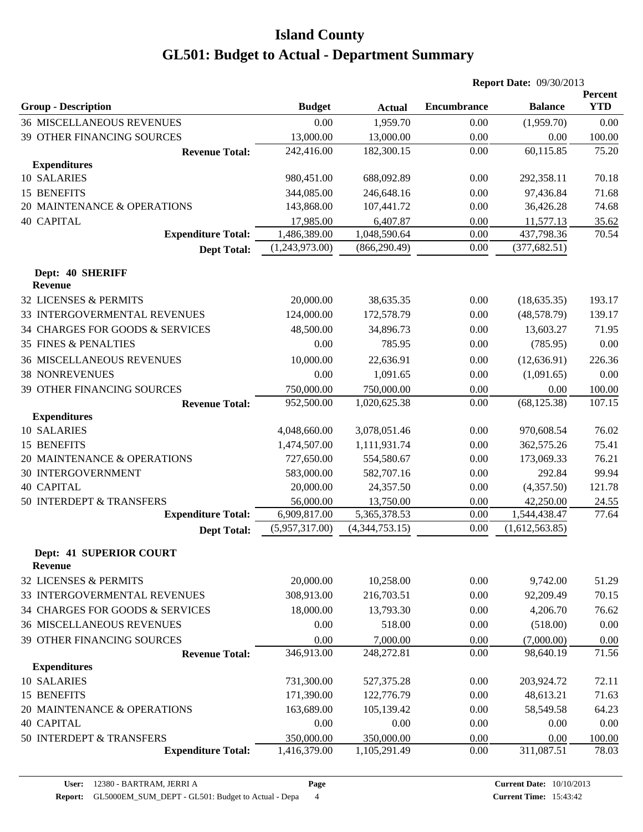|                                           |                |                |                    | <b>Report Date: 09/30/2013</b> |                       |
|-------------------------------------------|----------------|----------------|--------------------|--------------------------------|-----------------------|
| <b>Group - Description</b>                | <b>Budget</b>  | <b>Actual</b>  | <b>Encumbrance</b> | <b>Balance</b>                 | Percent<br><b>YTD</b> |
| <b>36 MISCELLANEOUS REVENUES</b>          | 0.00           | 1,959.70       | 0.00               | (1,959.70)                     | 0.00                  |
| 39 OTHER FINANCING SOURCES                | 13,000.00      | 13,000.00      | 0.00               | 0.00                           | 100.00                |
| <b>Revenue Total:</b>                     | 242,416.00     | 182,300.15     | 0.00               | 60,115.85                      | 75.20                 |
| <b>Expenditures</b>                       |                |                |                    |                                |                       |
| 10 SALARIES                               | 980,451.00     | 688,092.89     | 0.00               | 292,358.11                     | 70.18                 |
| 15 BENEFITS                               | 344,085.00     | 246,648.16     | 0.00               | 97,436.84                      | 71.68                 |
| 20 MAINTENANCE & OPERATIONS               | 143,868.00     | 107,441.72     | 0.00               | 36,426.28                      | 74.68                 |
| <b>40 CAPITAL</b>                         | 17,985.00      | 6,407.87       | 0.00               | 11,577.13                      | 35.62                 |
| <b>Expenditure Total:</b>                 | 1,486,389.00   | 1,048,590.64   | 0.00               | 437,798.36                     | 70.54                 |
| <b>Dept Total:</b>                        | (1,243,973.00) | (866, 290.49)  | 0.00               | (377, 682.51)                  |                       |
| Dept: 40 SHERIFF                          |                |                |                    |                                |                       |
| Revenue                                   |                |                |                    |                                |                       |
| <b>32 LICENSES &amp; PERMITS</b>          | 20,000.00      | 38,635.35      | 0.00               | (18, 635.35)                   | 193.17                |
| 33 INTERGOVERMENTAL REVENUES              | 124,000.00     | 172,578.79     | 0.00               | (48,578.79)                    | 139.17                |
| 34 CHARGES FOR GOODS & SERVICES           | 48,500.00      | 34,896.73      | 0.00               | 13,603.27                      | 71.95                 |
| <b>35 FINES &amp; PENALTIES</b>           | 0.00           | 785.95         | 0.00               | (785.95)                       | 0.00                  |
| <b>36 MISCELLANEOUS REVENUES</b>          | 10,000.00      | 22,636.91      | 0.00               | (12, 636.91)                   | 226.36                |
| <b>38 NONREVENUES</b>                     | 0.00           | 1,091.65       | 0.00               | (1,091.65)                     | 0.00                  |
| 39 OTHER FINANCING SOURCES                | 750,000.00     | 750,000.00     | 0.00               | 0.00                           | 100.00                |
| <b>Revenue Total:</b>                     | 952,500.00     | 1,020,625.38   | 0.00               | (68, 125.38)                   | 107.15                |
| <b>Expenditures</b>                       |                |                |                    |                                |                       |
| 10 SALARIES                               | 4,048,660.00   | 3,078,051.46   | 0.00               | 970,608.54                     | 76.02                 |
| <b>15 BENEFITS</b>                        | 1,474,507.00   | 1,111,931.74   | 0.00               | 362,575.26                     | 75.41                 |
| 20 MAINTENANCE & OPERATIONS               | 727,650.00     | 554,580.67     | 0.00               | 173,069.33                     | 76.21                 |
| <b>30 INTERGOVERNMENT</b>                 | 583,000.00     | 582,707.16     | 0.00               | 292.84                         | 99.94                 |
| <b>40 CAPITAL</b>                         | 20,000.00      | 24,357.50      | 0.00               | (4,357.50)                     | 121.78                |
| 50 INTERDEPT & TRANSFERS                  | 56,000.00      | 13,750.00      | 0.00               | 42,250.00                      | 24.55                 |
| <b>Expenditure Total:</b>                 | 6,909,817.00   | 5,365,378.53   | 0.00               | 1,544,438.47                   | 77.64                 |
| <b>Dept Total:</b>                        | (5,957,317.00) | (4,344,753.15) | 0.00               | (1,612,563.85)                 |                       |
| Dept: 41 SUPERIOR COURT<br><b>Revenue</b> |                |                |                    |                                |                       |
| 32 LICENSES & PERMITS                     | 20,000.00      | 10,258.00      | 0.00               | 9,742.00                       | 51.29                 |
| 33 INTERGOVERMENTAL REVENUES              | 308,913.00     | 216,703.51     | 0.00               | 92,209.49                      | 70.15                 |
| 34 CHARGES FOR GOODS & SERVICES           | 18,000.00      | 13,793.30      | 0.00               | 4,206.70                       | 76.62                 |
| <b>36 MISCELLANEOUS REVENUES</b>          | 0.00           | 518.00         | 0.00               | (518.00)                       | $0.00\,$              |
| 39 OTHER FINANCING SOURCES                | 0.00           | 7,000.00       | 0.00               | (7,000.00)                     | 0.00                  |
| <b>Revenue Total:</b>                     | 346,913.00     | 248,272.81     | 0.00               | 98,640.19                      | 71.56                 |
| <b>Expenditures</b>                       |                |                |                    |                                |                       |
| 10 SALARIES                               | 731,300.00     | 527,375.28     | 0.00               | 203,924.72                     | 72.11                 |
| 15 BENEFITS                               | 171,390.00     | 122,776.79     | 0.00               | 48,613.21                      | 71.63                 |
| 20 MAINTENANCE & OPERATIONS               | 163,689.00     | 105,139.42     | 0.00               | 58,549.58                      | 64.23                 |
| <b>40 CAPITAL</b>                         | 0.00           | 0.00           | 0.00               | 0.00                           | 0.00                  |
| 50 INTERDEPT & TRANSFERS                  | 350,000.00     | 350,000.00     | 0.00               | 0.00                           | 100.00                |
| <b>Expenditure Total:</b>                 | 1,416,379.00   | 1,105,291.49   | 0.00               | 311,087.51                     | 78.03                 |
|                                           |                |                |                    |                                |                       |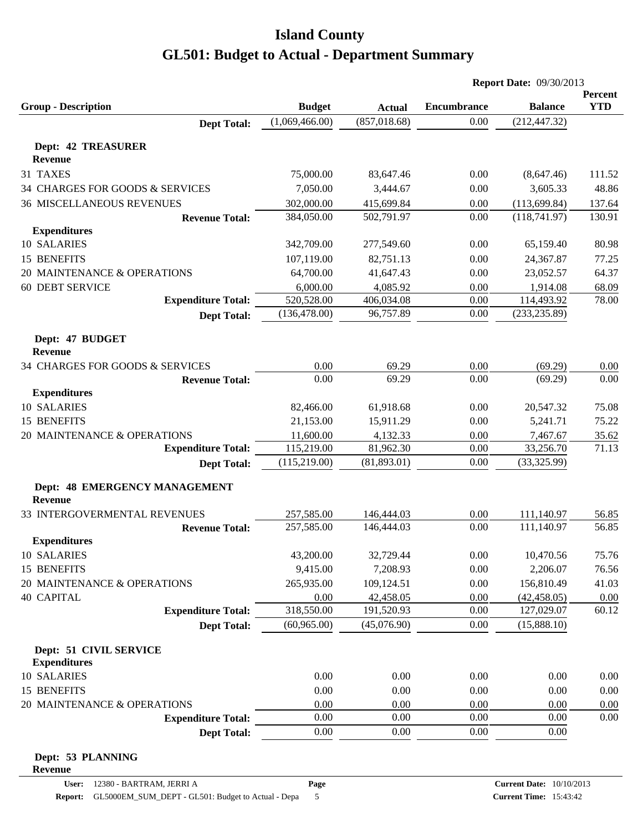|                                     |                |                                |                    | <b>Report Date: 09/30/2013</b> |                       |
|-------------------------------------|----------------|--------------------------------|--------------------|--------------------------------|-----------------------|
| <b>Group - Description</b>          | <b>Budget</b>  |                                | <b>Encumbrance</b> | <b>Balance</b>                 | Percent<br><b>YTD</b> |
| <b>Dept Total:</b>                  | (1,069,466.00) | <b>Actual</b><br>(857, 018.68) | 0.00               | (212, 447.32)                  |                       |
|                                     |                |                                |                    |                                |                       |
| <b>Dept: 42 TREASURER</b>           |                |                                |                    |                                |                       |
| <b>Revenue</b>                      |                |                                |                    |                                |                       |
| 31 TAXES                            | 75,000.00      | 83,647.46                      | 0.00               | (8,647.46)                     | 111.52                |
| 34 CHARGES FOR GOODS & SERVICES     | 7,050.00       | 3,444.67                       | 0.00               | 3,605.33                       | 48.86                 |
| <b>36 MISCELLANEOUS REVENUES</b>    | 302,000.00     | 415,699.84                     | 0.00               | (113, 699.84)                  | 137.64                |
| <b>Revenue Total:</b>               | 384,050.00     | 502,791.97                     | 0.00               | (118,741.97)                   | 130.91                |
| <b>Expenditures</b>                 |                |                                |                    |                                |                       |
| 10 SALARIES                         | 342,709.00     | 277,549.60                     | 0.00               | 65,159.40                      | 80.98                 |
| <b>15 BENEFITS</b>                  | 107,119.00     | 82,751.13                      | 0.00               | 24,367.87                      | 77.25                 |
| 20 MAINTENANCE & OPERATIONS         | 64,700.00      | 41,647.43                      | 0.00               | 23,052.57                      | 64.37                 |
| <b>60 DEBT SERVICE</b>              | 6,000.00       | 4,085.92                       | 0.00               | 1,914.08                       | 68.09                 |
| <b>Expenditure Total:</b>           | 520,528.00     | 406,034.08                     | 0.00               | 114,493.92                     | 78.00                 |
| <b>Dept Total:</b>                  | (136, 478.00)  | 96,757.89                      | 0.00               | (233, 235.89)                  |                       |
| Dept: 47 BUDGET                     |                |                                |                    |                                |                       |
| <b>Revenue</b>                      |                |                                |                    |                                |                       |
| 34 CHARGES FOR GOODS & SERVICES     | 0.00           |                                | 0.00               |                                |                       |
| <b>Revenue Total:</b>               | 0.00           | 69.29<br>69.29                 | 0.00               | (69.29)<br>(69.29)             | 0.00<br>0.00          |
| <b>Expenditures</b>                 |                |                                |                    |                                |                       |
| 10 SALARIES                         | 82,466.00      | 61,918.68                      | 0.00               | 20,547.32                      | 75.08                 |
| 15 BENEFITS                         | 21,153.00      | 15,911.29                      | 0.00               | 5,241.71                       | 75.22                 |
| 20 MAINTENANCE & OPERATIONS         | 11,600.00      |                                | 0.00               |                                |                       |
| <b>Expenditure Total:</b>           | 115,219.00     | 4,132.33<br>81,962.30          | 0.00               | 7,467.67<br>33,256.70          | 35.62<br>71.13        |
| <b>Dept Total:</b>                  | (115, 219.00)  | (81,893.01)                    | 0.00               | (33,325.99)                    |                       |
|                                     |                |                                |                    |                                |                       |
| Dept: 48 EMERGENCY MANAGEMENT       |                |                                |                    |                                |                       |
| <b>Revenue</b>                      |                |                                |                    |                                |                       |
| 33 INTERGOVERMENTAL REVENUES        | 257,585.00     | 146,444.03                     | 0.00               | 111,140.97                     | 56.85                 |
| <b>Revenue Total:</b>               | 257,585.00     | 146,444.03                     | 0.00               | 111,140.97                     | 56.85                 |
| <b>Expenditures</b>                 |                |                                |                    |                                |                       |
| <b>10 SALARIES</b>                  | 43,200.00      | 32,729.44                      | 0.00               | 10,470.56                      | 75.76                 |
| 15 BENEFITS                         | 9,415.00       | 7,208.93                       | 0.00               | 2,206.07                       | 76.56                 |
| 20 MAINTENANCE & OPERATIONS         | 265,935.00     | 109,124.51                     | 0.00               | 156,810.49                     | 41.03                 |
| <b>40 CAPITAL</b>                   | 0.00           | 42,458.05                      | 0.00               | (42, 458.05)                   | 0.00                  |
| <b>Expenditure Total:</b>           | 318,550.00     | 191,520.93                     | 0.00               | 127,029.07                     | 60.12                 |
| <b>Dept Total:</b>                  | (60, 965.00)   | (45,076.90)                    | 0.00               | (15,888.10)                    |                       |
| Dept: 51 CIVIL SERVICE              |                |                                |                    |                                |                       |
| <b>Expenditures</b>                 |                |                                |                    |                                |                       |
| 10 SALARIES                         | 0.00           | 0.00                           | 0.00               | 0.00                           | 0.00                  |
| 15 BENEFITS                         | 0.00           | 0.00                           | 0.00               | 0.00                           | 0.00                  |
| 20 MAINTENANCE & OPERATIONS         | 0.00           | 0.00                           | 0.00               | 0.00                           | 0.00                  |
| <b>Expenditure Total:</b>           | 0.00           | 0.00                           | 0.00               | 0.00                           | 0.00                  |
| <b>Dept Total:</b>                  | 0.00           | 0.00                           | 0.00               | 0.00                           |                       |
|                                     |                |                                |                    |                                |                       |
| Dept: 53 PLANNING<br><b>Revenue</b> |                |                                |                    |                                |                       |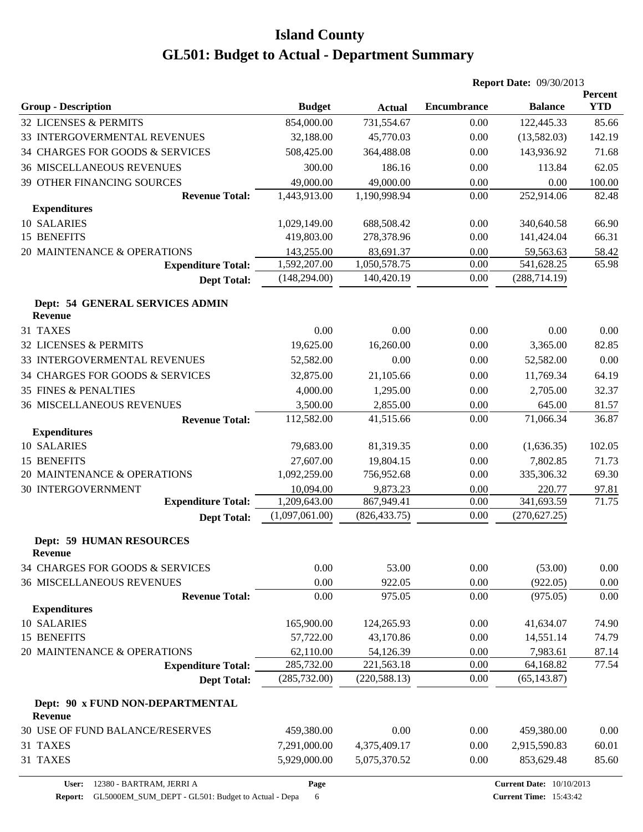|                                                    |                |               |                    | <b>Report Date: 09/30/2013</b> |                              |
|----------------------------------------------------|----------------|---------------|--------------------|--------------------------------|------------------------------|
| <b>Group - Description</b>                         | <b>Budget</b>  | <b>Actual</b> | <b>Encumbrance</b> | <b>Balance</b>                 | <b>Percent</b><br><b>YTD</b> |
| 32 LICENSES & PERMITS                              | 854,000.00     | 731,554.67    | 0.00               | 122,445.33                     | 85.66                        |
| 33 INTERGOVERMENTAL REVENUES                       | 32,188.00      | 45,770.03     | 0.00               | (13,582.03)                    | 142.19                       |
| 34 CHARGES FOR GOODS & SERVICES                    | 508,425.00     | 364,488.08    | 0.00               | 143,936.92                     | 71.68                        |
| <b>36 MISCELLANEOUS REVENUES</b>                   | 300.00         | 186.16        | 0.00               | 113.84                         | 62.05                        |
| 39 OTHER FINANCING SOURCES                         | 49,000.00      | 49,000.00     | 0.00               | 0.00                           | 100.00                       |
| <b>Revenue Total:</b>                              | 1,443,913.00   | 1,190,998.94  | 0.00               | 252,914.06                     | 82.48                        |
| <b>Expenditures</b>                                |                |               |                    |                                |                              |
| 10 SALARIES                                        | 1,029,149.00   | 688,508.42    | 0.00               | 340,640.58                     | 66.90                        |
| 15 BENEFITS                                        | 419,803.00     | 278,378.96    | 0.00               | 141,424.04                     | 66.31                        |
| 20 MAINTENANCE & OPERATIONS                        | 143,255.00     | 83,691.37     | 0.00               | 59,563.63                      | 58.42                        |
| <b>Expenditure Total:</b>                          | 1,592,207.00   | 1,050,578.75  | 0.00               | 541,628.25                     | 65.98                        |
| <b>Dept Total:</b>                                 | (148, 294.00)  | 140,420.19    | 0.00               | (288, 714.19)                  |                              |
| Dept: 54 GENERAL SERVICES ADMIN<br><b>Revenue</b>  |                |               |                    |                                |                              |
| 31 TAXES                                           | 0.00           | 0.00          | 0.00               | 0.00                           | 0.00                         |
| 32 LICENSES & PERMITS                              | 19,625.00      | 16,260.00     | 0.00               | 3,365.00                       | 82.85                        |
| 33 INTERGOVERMENTAL REVENUES                       | 52,582.00      | 0.00          | 0.00               | 52,582.00                      | 0.00                         |
| 34 CHARGES FOR GOODS & SERVICES                    | 32,875.00      | 21,105.66     | 0.00               | 11,769.34                      | 64.19                        |
| <b>35 FINES &amp; PENALTIES</b>                    | 4,000.00       | 1,295.00      | 0.00               | 2,705.00                       | 32.37                        |
| <b>36 MISCELLANEOUS REVENUES</b>                   | 3,500.00       | 2,855.00      | 0.00               | 645.00                         | 81.57                        |
| <b>Revenue Total:</b>                              | 112,582.00     | 41,515.66     | 0.00               | 71,066.34                      | 36.87                        |
| <b>Expenditures</b>                                |                |               |                    |                                |                              |
| 10 SALARIES                                        | 79,683.00      | 81,319.35     | 0.00               | (1,636.35)                     | 102.05                       |
| 15 BENEFITS                                        | 27,607.00      | 19,804.15     | 0.00               | 7,802.85                       | 71.73                        |
| 20 MAINTENANCE & OPERATIONS                        | 1,092,259.00   | 756,952.68    | 0.00               | 335,306.32                     | 69.30                        |
| <b>30 INTERGOVERNMENT</b>                          | 10,094.00      | 9,873.23      | 0.00               | 220.77                         | 97.81                        |
| <b>Expenditure Total:</b>                          | 1,209,643.00   | 867,949.41    | 0.00               | 341,693.59                     | 71.75                        |
| <b>Dept Total:</b>                                 | (1,097,061.00) | (826, 433.75) | 0.00               | (270, 627.25)                  |                              |
| <b>Dept: 59 HUMAN RESOURCES</b><br><b>Revenue</b>  |                |               |                    |                                |                              |
| 34 CHARGES FOR GOODS & SERVICES                    | 0.00           | 53.00         | 0.00               | (53.00)                        | 0.00                         |
| <b>36 MISCELLANEOUS REVENUES</b>                   | 0.00           | 922.05        | 0.00               | (922.05)                       | 0.00                         |
| <b>Revenue Total:</b>                              | 0.00           | 975.05        | 0.00               | (975.05)                       | 0.00                         |
| <b>Expenditures</b>                                |                |               |                    |                                |                              |
| 10 SALARIES                                        | 165,900.00     | 124,265.93    | 0.00               | 41,634.07                      | 74.90                        |
| 15 BENEFITS                                        | 57,722.00      | 43,170.86     | 0.00               | 14,551.14                      | 74.79                        |
| 20 MAINTENANCE & OPERATIONS                        | 62,110.00      | 54,126.39     | 0.00               | 7,983.61                       | 87.14                        |
| <b>Expenditure Total:</b>                          | 285,732.00     | 221,563.18    | 0.00               | 64,168.82                      | $\overline{77.54}$           |
| <b>Dept Total:</b>                                 | (285, 732.00)  | (220, 588.13) | 0.00               | (65, 143.87)                   |                              |
| Dept: 90 x FUND NON-DEPARTMENTAL<br><b>Revenue</b> |                |               |                    |                                |                              |
| 30 USE OF FUND BALANCE/RESERVES                    | 459,380.00     | 0.00          | 0.00               | 459,380.00                     | 0.00                         |
| 31 TAXES                                           | 7,291,000.00   | 4,375,409.17  | 0.00               | 2,915,590.83                   | 60.01                        |
| 31 TAXES                                           | 5,929,000.00   | 5,075,370.52  | 0.00               | 853,629.48                     | 85.60                        |

**Page**

Report: GL5000EM\_SUM\_DEPT - GL501: Budget to Actual - Depa 6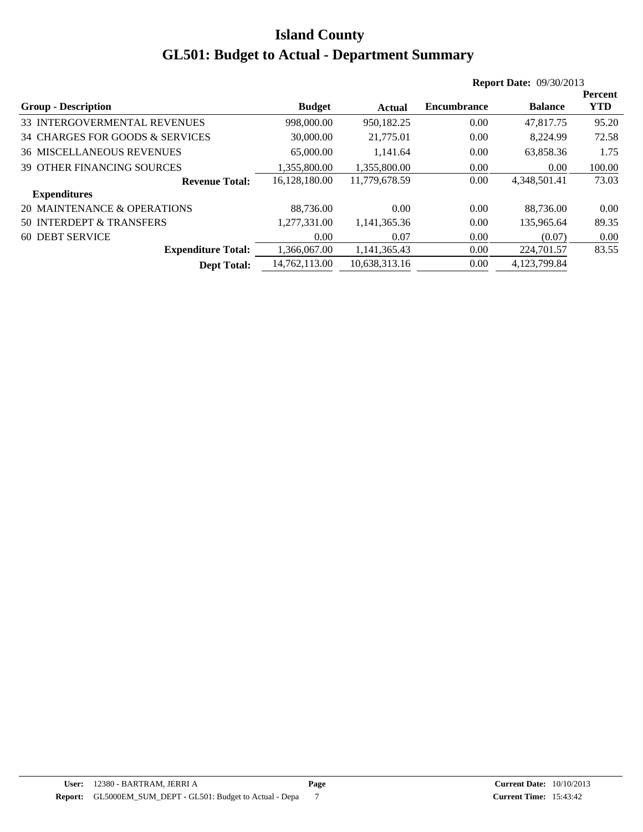|                                   |               |               |                    | <b>Report Date: 09/30/2013</b> |                |
|-----------------------------------|---------------|---------------|--------------------|--------------------------------|----------------|
|                                   |               |               |                    |                                | <b>Percent</b> |
| <b>Group - Description</b>        | <b>Budget</b> | <b>Actual</b> | <b>Encumbrance</b> | <b>Balance</b>                 | <b>YTD</b>     |
| 33 INTERGOVERMENTAL REVENUES      | 998,000.00    | 950,182.25    | 0.00               | 47,817.75                      | 95.20          |
| 34 CHARGES FOR GOODS & SERVICES   | 30,000.00     | 21,775.01     | 0.00               | 8,224.99                       | 72.58          |
| <b>36 MISCELLANEOUS REVENUES</b>  | 65,000.00     | 1.141.64      | 0.00               | 63,858.36                      | 1.75           |
| <b>39 OTHER FINANCING SOURCES</b> | 1.355.800.00  | 1.355.800.00  | 0.00               | 0.00                           | 100.00         |
| <b>Revenue Total:</b>             | 16.128.180.00 | 11.779.678.59 | 0.00               | 4,348,501.41                   | 73.03          |
| <b>Expenditures</b>               |               |               |                    |                                |                |
| 20 MAINTENANCE & OPERATIONS       | 88.736.00     | 0.00          | 0.00               | 88.736.00                      | 0.00           |
| 50 INTERDEPT & TRANSFERS          | 1.277.331.00  | 1,141,365.36  | 0.00               | 135,965.64                     | 89.35          |
| 60 DEBT SERVICE                   | 0.00          | 0.07          | 0.00               | (0.07)                         | 0.00           |
| <b>Expenditure Total:</b>         | 1.366.067.00  | 1,141,365.43  | 0.00               | 224,701.57                     | 83.55          |
| <b>Dept Total:</b>                | 14,762,113.00 | 10,638,313.16 | 0.00               | 4,123,799.84                   |                |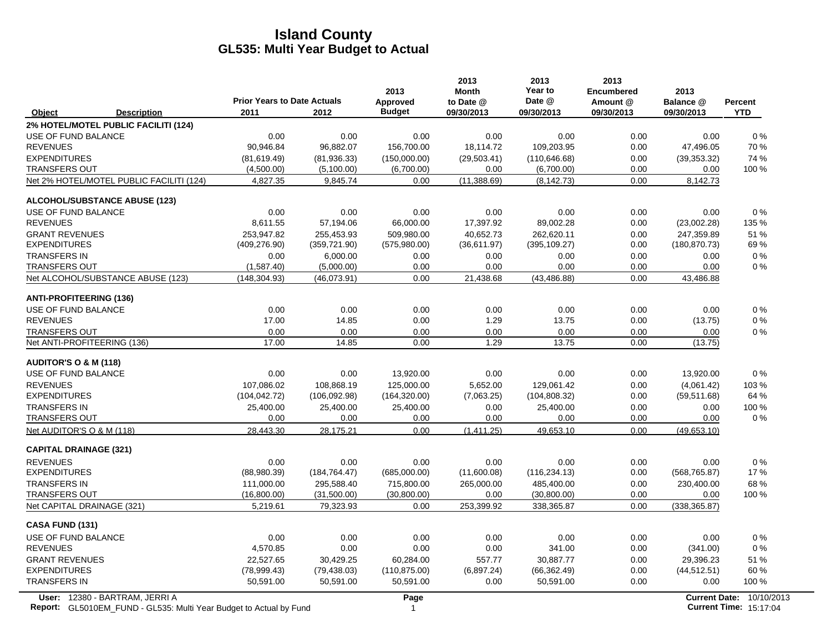|                                                                                                             | <b>Prior Years to Date Actuals</b> |               | 2013<br>Approved | 2013<br><b>Month</b><br>to Date @ | 2013<br>Year to<br>Date @ | 2013<br><b>Encumbered</b><br>Amount @ | 2013<br>Balance @ | <b>Percent</b>                                            |
|-------------------------------------------------------------------------------------------------------------|------------------------------------|---------------|------------------|-----------------------------------|---------------------------|---------------------------------------|-------------------|-----------------------------------------------------------|
| Object<br><b>Description</b>                                                                                | 2011                               | 2012          | <b>Budget</b>    | 09/30/2013                        | 09/30/2013                | 09/30/2013                            | 09/30/2013        | <b>YTD</b>                                                |
| 2% HOTEL/MOTEL PUBLIC FACILITI (124)                                                                        |                                    |               |                  |                                   |                           |                                       |                   |                                                           |
| USE OF FUND BALANCE                                                                                         | 0.00                               | 0.00          | 0.00             | 0.00                              | 0.00                      | 0.00                                  | 0.00              | $0\%$                                                     |
| <b>REVENUES</b>                                                                                             | 90,946.84                          | 96,882.07     | 156,700.00       | 18,114.72                         | 109,203.95                | 0.00                                  | 47,496.05         | 70%                                                       |
| <b>EXPENDITURES</b>                                                                                         | (81,619.49)                        | (81,936.33)   | (150,000.00)     | (29, 503.41)                      | (110, 646.68)             | 0.00                                  | (39, 353.32)      | 74 %                                                      |
| <b>TRANSFERS OUT</b>                                                                                        | (4,500.00)                         | (5,100.00)    | (6,700.00)       | 0.00                              | (6,700.00)                | 0.00                                  | 0.00              | 100 %                                                     |
| Net 2% HOTEL/MOTEL PUBLIC FACILITI (124)                                                                    | 4,827.35                           | 9,845.74      | 0.00             | (11, 388.69)                      | (8, 142.73)               | 0.00                                  | 8,142.73          |                                                           |
| <b>ALCOHOL/SUBSTANCE ABUSE (123)</b>                                                                        |                                    |               |                  |                                   |                           |                                       |                   |                                                           |
| USE OF FUND BALANCE                                                                                         | 0.00                               | 0.00          | 0.00             | 0.00                              | 0.00                      | 0.00                                  | 0.00              | 0%                                                        |
| <b>REVENUES</b>                                                                                             | 8,611.55                           | 57,194.06     | 66,000.00        | 17,397.92                         | 89,002.28                 | 0.00                                  | (23,002.28)       | 135 %                                                     |
| <b>GRANT REVENUES</b>                                                                                       | 253,947.82                         | 255,453.93    | 509,980.00       | 40,652.73                         | 262,620.11                | 0.00                                  | 247,359.89        | 51 %                                                      |
| <b>EXPENDITURES</b>                                                                                         | (409, 276.90)                      | (359, 721.90) | (575,980.00)     | (36,611.97)                       | (395, 109.27)             | 0.00                                  | (180, 870.73)     | 69%                                                       |
| <b>TRANSFERS IN</b>                                                                                         | 0.00                               | 6,000.00      | 0.00             | 0.00                              | 0.00                      | 0.00                                  | 0.00              | $0\%$                                                     |
| <b>TRANSFERS OUT</b>                                                                                        | (1,587.40)                         | (5,000.00)    | 0.00             | 0.00                              | 0.00                      | 0.00                                  | 0.00              | $0\%$                                                     |
| Net ALCOHOL/SUBSTANCE ABUSE (123)                                                                           | (148, 304.93)                      | (46,073.91)   | 0.00             | 21,438.68                         | (43, 486.88)              | 0.00                                  | 43,486.88         |                                                           |
| <b>ANTI-PROFITEERING (136)</b>                                                                              |                                    |               |                  |                                   |                           |                                       |                   |                                                           |
| USE OF FUND BALANCE                                                                                         | 0.00                               | 0.00          | 0.00             | 0.00                              | 0.00                      | 0.00                                  | 0.00              | 0%                                                        |
| <b>REVENUES</b>                                                                                             | 17.00                              | 14.85         | 0.00             | 1.29                              | 13.75                     | 0.00                                  | (13.75)           | 0%                                                        |
| <b>TRANSFERS OUT</b>                                                                                        | 0.00                               | 0.00          | 0.00             | 0.00                              | 0.00                      | 0.00                                  | 0.00              | $0\%$                                                     |
| Net ANTI-PROFITEERING (136)                                                                                 | 17.00                              | 14.85         | 0.00             | 1.29                              | 13.75                     | 0.00                                  | (13.75)           |                                                           |
| <b>AUDITOR'S O &amp; M (118)</b>                                                                            |                                    |               |                  |                                   |                           |                                       |                   |                                                           |
| USE OF FUND BALANCE                                                                                         | 0.00                               | 0.00          | 13,920.00        | 0.00                              | 0.00                      | 0.00                                  | 13,920.00         | $0\%$                                                     |
| <b>REVENUES</b>                                                                                             | 107,086.02                         | 108,868.19    | 125,000.00       | 5,652.00                          | 129,061.42                | 0.00                                  | (4,061.42)        | 103%                                                      |
| <b>EXPENDITURES</b>                                                                                         | (104, 042.72)                      | (106,092.98)  | (164, 320.00)    | (7,063.25)                        | (104, 808.32)             | 0.00                                  | (59, 511.68)      | 64 %                                                      |
| <b>TRANSFERS IN</b>                                                                                         | 25,400.00                          | 25,400.00     | 25,400.00        | 0.00                              | 25,400.00                 | 0.00                                  | 0.00              | 100 %                                                     |
| <b>TRANSFERS OUT</b>                                                                                        | 0.00                               | 0.00          | 0.00             | 0.00                              | 0.00                      | 0.00                                  | 0.00              | $0\%$                                                     |
| Net AUDITOR'S O & M (118)                                                                                   | 28,443.30                          | 28,175.21     | 0.00             | (1,411.25)                        | 49,653.10                 | 0.00                                  | (49,653.10)       |                                                           |
| <b>CAPITAL DRAINAGE (321)</b>                                                                               |                                    |               |                  |                                   |                           |                                       |                   |                                                           |
| <b>REVENUES</b>                                                                                             | 0.00                               | 0.00          | 0.00             | 0.00                              | 0.00                      | 0.00                                  | 0.00              | 0%                                                        |
| <b>EXPENDITURES</b>                                                                                         | (88,980.39)                        | (184, 764.47) | (685,000.00)     | (11,600.08)                       | (116, 234.13)             | 0.00                                  | (568, 765.87)     | 17%                                                       |
| <b>TRANSFERS IN</b>                                                                                         | 111,000.00                         | 295,588.40    | 715,800.00       | 265,000.00                        | 485,400.00                | 0.00                                  | 230,400.00        | 68 %                                                      |
| <b>TRANSFERS OUT</b>                                                                                        | (16,800.00)                        | (31,500.00)   | (30,800.00)      | 0.00                              | (30,800.00)               | 0.00                                  | 0.00              | 100 %                                                     |
| Net CAPITAL DRAINAGE (321)                                                                                  | 5,219.61                           | 79,323.93     | 0.00             | 253,399.92                        | 338,365.87                | 0.00                                  | (338, 365.87)     |                                                           |
| <b>CASA FUND (131)</b>                                                                                      |                                    |               |                  |                                   |                           |                                       |                   |                                                           |
| USE OF FUND BALANCE                                                                                         | 0.00                               | 0.00          | 0.00             | 0.00                              | 0.00                      | 0.00                                  | 0.00              | 0%                                                        |
| <b>REVENUES</b>                                                                                             | 4,570.85                           | 0.00          | 0.00             | 0.00                              | 341.00                    | 0.00                                  | (341.00)          | 0%                                                        |
| <b>GRANT REVENUES</b>                                                                                       | 22,527.65                          | 30,429.25     | 60,284.00        | 557.77                            | 30,887.77                 | 0.00                                  | 29,396.23         | 51 %                                                      |
| <b>EXPENDITURES</b>                                                                                         | (78,999.43)                        | (79, 438.03)  | (110, 875.00)    | (6,897.24)                        | (66, 362.49)              | 0.00                                  | (44, 512.51)      | 60%                                                       |
| <b>TRANSFERS IN</b>                                                                                         | 50,591.00                          | 50,591.00     | 50,591.00        | 0.00                              | 50,591.00                 | 0.00                                  | 0.00              | 100 %                                                     |
| User: 12380 - BARTRAM, JERRI A<br><b>Report:</b> GL5010EM FUND - GL535: Multi Year Budget to Actual by Fund |                                    |               | Page<br>1        |                                   |                           |                                       |                   | Current Date: 10/10/2013<br><b>Current Time: 15:17:04</b> |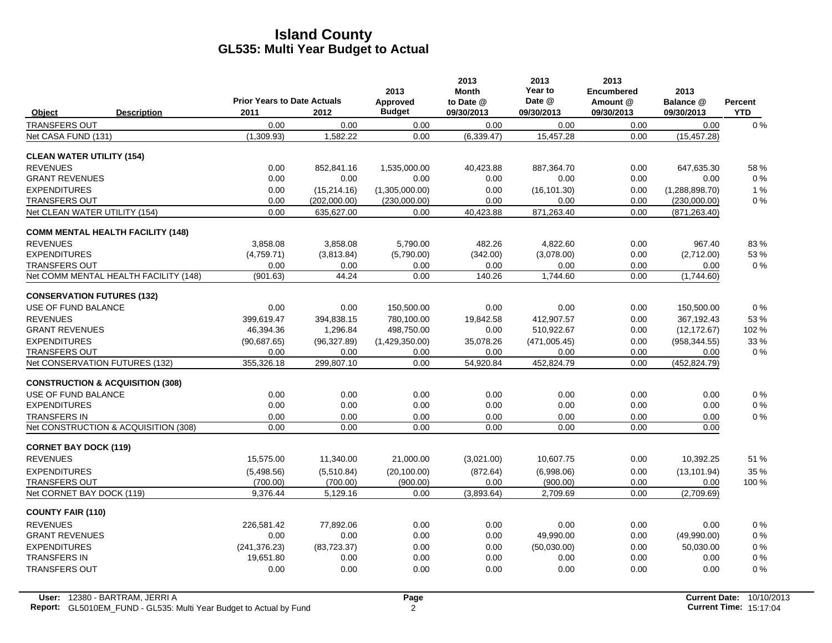|                                             |                                            |              | 2013                      | 2013<br><b>Month</b>    | 2013<br>Year to<br>Date @ | 2013<br><b>Encumbered</b> | 2013                    |                              |
|---------------------------------------------|--------------------------------------------|--------------|---------------------------|-------------------------|---------------------------|---------------------------|-------------------------|------------------------------|
| Object<br><b>Description</b>                | <b>Prior Years to Date Actuals</b><br>2011 | 2012         | Approved<br><b>Budget</b> | to Date @<br>09/30/2013 | 09/30/2013                | Amount @<br>09/30/2013    | Balance @<br>09/30/2013 | <b>Percent</b><br><b>YTD</b> |
| <b>TRANSFERS OUT</b>                        | 0.00                                       | 0.00         | 0.00                      | 0.00                    | 0.00                      | 0.00                      | 0.00                    | $0\%$                        |
| Net CASA FUND (131)                         | (1,309.93)                                 | 1,582.22     | 0.00                      | (6, 339.47)             | 15,457.28                 | 0.00                      | (15, 457.28)            |                              |
| <b>CLEAN WATER UTILITY (154)</b>            |                                            |              |                           |                         |                           |                           |                         |                              |
| <b>REVENUES</b>                             | 0.00                                       | 852,841.16   | 1,535,000.00              | 40,423.88               | 887,364.70                | 0.00                      | 647,635.30              | 58%                          |
| <b>GRANT REVENUES</b>                       | 0.00                                       | 0.00         | 0.00                      | 0.00                    | 0.00                      | 0.00                      | 0.00                    | $0\%$                        |
| <b>EXPENDITURES</b>                         | 0.00                                       | (15, 214.16) | (1,305,000.00)            | 0.00                    | (16, 101.30)              | 0.00                      | (1,288,898.70)          | $1\%$                        |
| <b>TRANSFERS OUT</b>                        | 0.00                                       | (202,000.00) | (230,000.00)              | 0.00                    | 0.00                      | 0.00                      | (230,000.00)            | $0\%$                        |
| Net CLEAN WATER UTILITY (154)               | 0.00                                       | 635.627.00   | 0.00                      | 40,423.88               | 871,263.40                | 0.00                      | (871, 263.40)           |                              |
| <b>COMM MENTAL HEALTH FACILITY (148)</b>    |                                            |              |                           |                         |                           |                           |                         |                              |
| <b>REVENUES</b>                             | 3.858.08                                   | 3,858.08     | 5,790.00                  | 482.26                  | 4.822.60                  | 0.00                      | 967.40                  | 83%                          |
| <b>EXPENDITURES</b>                         | (4,759.71)                                 | (3,813.84)   | (5,790.00)                | (342.00)                | (3,078.00)                | 0.00                      | (2,712.00)              | 53 %                         |
| <b>TRANSFERS OUT</b>                        | 0.00                                       | 0.00         | 0.00                      | 0.00                    | 0.00                      | 0.00                      | 0.00                    | $0\%$                        |
| Net COMM MENTAL HEALTH FACILITY (148)       | (901.63)                                   | 44.24        | 0.00                      | 140.26                  | 1,744.60                  | 0.00                      | (1,744.60)              |                              |
| <b>CONSERVATION FUTURES (132)</b>           |                                            |              |                           |                         |                           |                           |                         |                              |
| USE OF FUND BALANCE                         | 0.00                                       | 0.00         | 150,500.00                | 0.00                    | 0.00                      | 0.00                      | 150,500.00              | $0\%$                        |
| <b>REVENUES</b>                             | 399,619.47                                 | 394,838.15   | 780,100.00                | 19,842.58               | 412,907.57                | 0.00                      | 367,192.43              | 53%                          |
| <b>GRANT REVENUES</b>                       | 46,394.36                                  | 1.296.84     | 498,750.00                | 0.00                    | 510,922.67                | 0.00                      | (12, 172.67)            | 102 %                        |
| <b>EXPENDITURES</b>                         | (90,687.65)                                | (96, 327.89) | (1,429,350.00)            | 35,078.26               | (471,005.45)              | 0.00                      | (958, 344.55)           | 33 %                         |
| <b>TRANSFERS OUT</b>                        | 0.00                                       | 0.00         | 0.00                      | 0.00                    | 0.00                      | 0.00                      | 0.00                    | $0\%$                        |
| Net CONSERVATION FUTURES (132)              | 355,326.18                                 | 299,807.10   | 0.00                      | 54,920.84               | 452,824.79                | 0.00                      | (452, 824.79)           |                              |
| <b>CONSTRUCTION &amp; ACQUISITION (308)</b> |                                            |              |                           |                         |                           |                           |                         |                              |
| USE OF FUND BALANCE                         | 0.00                                       | 0.00         | 0.00                      | 0.00                    | 0.00                      | 0.00                      | 0.00                    | $0\%$                        |
| <b>EXPENDITURES</b>                         | 0.00                                       | 0.00         | 0.00                      | 0.00                    | 0.00                      | 0.00                      | 0.00                    | $0\%$                        |
| <b>TRANSFERS IN</b>                         | 0.00                                       | 0.00         | 0.00                      | 0.00                    | 0.00                      | 0.00                      | 0.00                    | $0\%$                        |
| Net CONSTRUCTION & ACQUISITION (308)        | 0.00                                       | 0.00         | 0.00                      | 0.00                    | 0.00                      | 0.00                      | 0.00                    |                              |
| <b>CORNET BAY DOCK (119)</b>                |                                            |              |                           |                         |                           |                           |                         |                              |
| <b>REVENUES</b>                             | 15,575.00                                  | 11,340.00    | 21,000.00                 | (3,021.00)              | 10,607.75                 | 0.00                      | 10,392.25               | 51 %                         |
| <b>EXPENDITURES</b>                         | (5,498.56)                                 | (5,510.84)   | (20, 100.00)              | (872.64)                | (6,998.06)                | 0.00                      | (13, 101.94)            | 35 %                         |
| <b>TRANSFERS OUT</b>                        | (700.00)                                   | (700.00)     | (900.00)                  | 0.00                    | (900.00)                  | 0.00                      | 0.00                    | 100 %                        |
| Net CORNET BAY DOCK (119)                   | 9,376.44                                   | 5,129.16     | 0.00                      | (3,893.64)              | 2,709.69                  | 0.00                      | (2,709.69)              |                              |
| <b>COUNTY FAIR (110)</b>                    |                                            |              |                           |                         |                           |                           |                         |                              |
| <b>REVENUES</b>                             | 226.581.42                                 | 77.892.06    | 0.00                      | 0.00                    | 0.00                      | 0.00                      | 0.00                    | $0\%$                        |
| <b>GRANT REVENUES</b>                       | 0.00                                       | 0.00         | 0.00                      | 0.00                    | 49,990.00                 | 0.00                      | (49,990.00)             | $0\%$                        |
| <b>EXPENDITURES</b>                         | (241, 376.23)                              | (83, 723.37) | 0.00                      | 0.00                    | (50,030.00)               | 0.00                      | 50.030.00               | $0\%$                        |
| <b>TRANSFERS IN</b>                         | 19,651.80                                  | 0.00         | 0.00                      | 0.00                    | 0.00                      | 0.00                      | 0.00                    | $0\%$                        |
| <b>TRANSFERS OUT</b>                        | 0.00                                       | 0.00         | 0.00                      | 0.00                    | 0.00                      | 0.00                      | 0.00                    | 0%                           |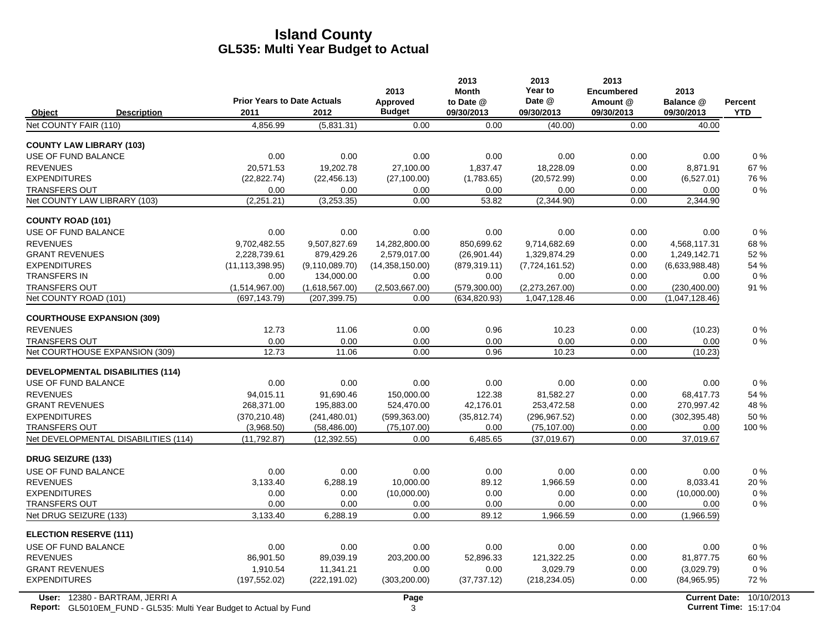|                                               |                                    |                                 | 2013                   | 2013<br><b>Month</b>           | 2013<br>Year to                | 2013<br><b>Encumbered</b> | 2013                            |            |
|-----------------------------------------------|------------------------------------|---------------------------------|------------------------|--------------------------------|--------------------------------|---------------------------|---------------------------------|------------|
|                                               | <b>Prior Years to Date Actuals</b> |                                 | Approved               | to Date @                      | Date @                         | Amount @                  | Balance @                       | Percent    |
| Object<br><b>Description</b>                  | 2011                               | 2012                            | <b>Budget</b>          | 09/30/2013                     | 09/30/2013                     | 09/30/2013                | 09/30/2013                      | <b>YTD</b> |
| Net COUNTY FAIR (110)                         | 4,856.99                           | (5,831.31)                      | 0.00                   | 0.00                           | (40.00)                        | 0.00                      | 40.00                           |            |
| <b>COUNTY LAW LIBRARY (103)</b>               |                                    |                                 |                        |                                |                                |                           |                                 |            |
| USE OF FUND BALANCE                           | 0.00                               | 0.00                            | 0.00                   | 0.00                           | 0.00                           | 0.00                      | 0.00                            | $0\%$      |
| <b>REVENUES</b>                               | 20,571.53                          | 19,202.78                       | 27,100.00              | 1,837.47                       | 18,228.09                      | 0.00                      | 8,871.91                        | 67%        |
| <b>EXPENDITURES</b>                           | (22, 822.74)                       | (22, 456.13)                    | (27, 100.00)           | (1,783.65)                     | (20, 572.99)                   | 0.00                      | (6,527.01)                      | 76 %       |
| <b>TRANSFERS OUT</b>                          | 0.00                               | 0.00                            | 0.00                   | 0.00                           | 0.00                           | 0.00                      | 0.00                            | 0%         |
| Net COUNTY LAW LIBRARY (103)                  | (2,251.21)                         | (3,253.35)                      | 0.00                   | 53.82                          | (2,344.90)                     | 0.00                      | 2,344.90                        |            |
| <b>COUNTY ROAD (101)</b>                      |                                    |                                 |                        |                                |                                |                           |                                 |            |
| USE OF FUND BALANCE                           | 0.00                               | 0.00                            | 0.00                   | 0.00                           | 0.00                           | 0.00                      | 0.00                            | $0\%$      |
| <b>REVENUES</b>                               | 9.702.482.55                       | 9,507,827.69                    | 14,282,800.00          | 850.699.62                     | 9,714,682.69                   | 0.00                      | 4,568,117.31                    | 68%        |
| <b>GRANT REVENUES</b>                         | 2,228,739.61                       | 879,429.26                      | 2,579,017.00           | (26,901.44)                    | 1,329,874.29                   | 0.00                      | 1,249,142.71                    | 52 %       |
| <b>EXPENDITURES</b>                           | (11, 113, 398.95)                  | (9, 110, 089.70)                | (14,358,150.00)        | (879, 319.11)                  | (7, 724, 161.52)               | 0.00                      | (6,633,988.48)                  | 54 %       |
| <b>TRANSFERS IN</b>                           | 0.00                               | 134,000.00                      | 0.00                   | 0.00                           | 0.00                           | 0.00                      | 0.00                            | 0%         |
| <b>TRANSFERS OUT</b><br>Net COUNTY ROAD (101) | (1,514,967.00)<br>(697, 143.79)    | (1,618,567.00)<br>(207, 399.75) | (2,503,667.00)<br>0.00 | (579, 300.00)<br>(634, 820.93) | (2,273,267.00)<br>1,047,128.46 | 0.00<br>0.00              | (230, 400.00)<br>(1,047,128.46) | 91 %       |
|                                               |                                    |                                 |                        |                                |                                |                           |                                 |            |
| <b>COURTHOUSE EXPANSION (309)</b>             |                                    |                                 |                        |                                |                                |                           |                                 |            |
| <b>REVENUES</b>                               | 12.73                              | 11.06                           | 0.00                   | 0.96                           | 10.23                          | 0.00                      | (10.23)                         | 0%         |
| <b>TRANSFERS OUT</b>                          | 0.00                               | 0.00                            | 0.00                   | 0.00                           | 0.00                           | 0.00                      | 0.00                            | 0%         |
| Net COURTHOUSE EXPANSION (309)                | 12.73                              | 11.06                           | 0.00                   | 0.96                           | 10.23                          | 0.00                      | (10.23)                         |            |
| <b>DEVELOPMENTAL DISABILITIES (114)</b>       |                                    |                                 |                        |                                |                                |                           |                                 |            |
| <b>USE OF FUND BALANCE</b>                    | 0.00                               | 0.00                            | 0.00                   | 0.00                           | 0.00                           | 0.00                      | 0.00                            | 0%         |
| <b>REVENUES</b>                               | 94,015.11                          | 91,690.46                       | 150,000.00             | 122.38                         | 81,582.27                      | 0.00                      | 68,417.73                       | 54 %       |
| <b>GRANT REVENUES</b>                         | 268,371.00                         | 195,883.00                      | 524,470.00             | 42,176.01                      | 253,472.58                     | 0.00                      | 270,997.42                      | 48 %       |
| <b>EXPENDITURES</b>                           | (370, 210.48)                      | (241, 480.01)                   | (599, 363.00)          | (35, 812.74)                   | (296, 967.52)                  | 0.00                      | (302, 395.48)                   | 50 %       |
| <b>TRANSFERS OUT</b>                          | (3,968.50)                         | (58, 486.00)                    | (75, 107.00)           | 0.00                           | (75, 107.00)                   | 0.00                      | 0.00                            | 100 %      |
| Net DEVELOPMENTAL DISABILITIES (114)          | (11, 792.87)                       | (12, 392.55)                    | 0.00                   | 6,485.65                       | (37,019.67)                    | 0.00                      | 37,019.67                       |            |
| <b>DRUG SEIZURE (133)</b>                     |                                    |                                 |                        |                                |                                |                           |                                 |            |
| USE OF FUND BALANCE                           | 0.00                               | 0.00                            | 0.00                   | 0.00                           | 0.00                           | 0.00                      | 0.00                            | 0%         |
| <b>REVENUES</b>                               | 3.133.40                           | 6,288.19                        | 10,000.00              | 89.12                          | 1,966.59                       | 0.00                      | 8,033.41                        | 20%        |
| <b>EXPENDITURES</b>                           | 0.00                               | 0.00                            | (10,000.00)            | 0.00                           | 0.00                           | 0.00                      | (10,000.00)                     | $0\%$      |
| <b>TRANSFERS OUT</b>                          | 0.00                               | 0.00                            | 0.00                   | 0.00                           | 0.00                           | 0.00                      | 0.00                            | 0%         |
| Net DRUG SEIZURE (133)                        | 3,133.40                           | 6,288.19                        | 0.00                   | 89.12                          | 1,966.59                       | 0.00                      | (1,966.59)                      |            |
| <b>ELECTION RESERVE (111)</b>                 |                                    |                                 |                        |                                |                                |                           |                                 |            |
| USE OF FUND BALANCE                           | 0.00                               | 0.00                            | 0.00                   | 0.00                           | 0.00                           | 0.00                      | 0.00                            | $0\%$      |
| <b>REVENUES</b>                               | 86,901.50                          | 89,039.19                       | 203,200.00             | 52.896.33                      | 121,322.25                     | 0.00                      | 81,877.75                       | 60%        |
| <b>GRANT REVENUES</b>                         | 1,910.54                           | 11,341.21                       | 0.00                   | 0.00                           | 3,029.79                       | 0.00                      | (3,029.79)                      | $0\%$      |
| <b>EXPENDITURES</b>                           | (197, 552.02)                      | (222, 191.02)                   | (303, 200.00)          | (37, 737.12)                   | (218, 234.05)                  | 0.00                      | (84,965.95)                     | 72%        |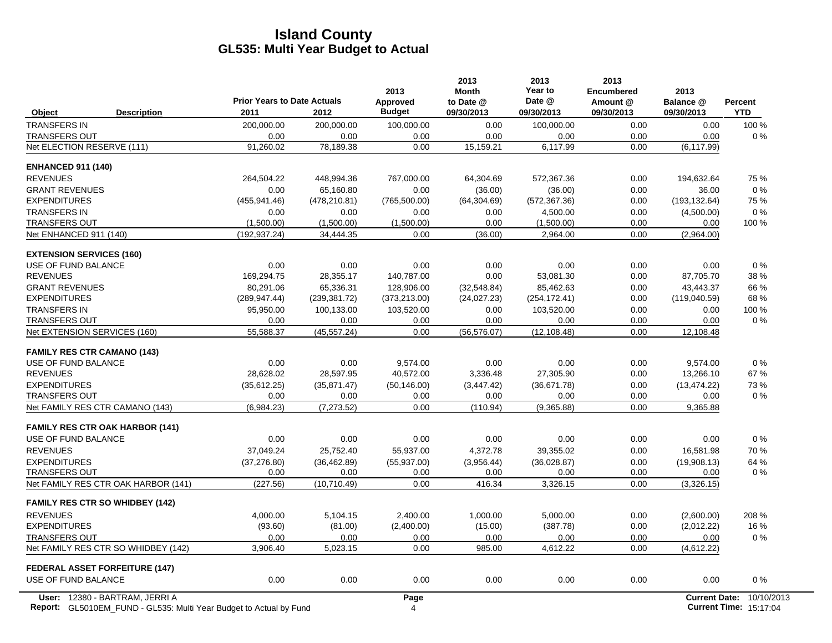|                                        | <b>Prior Years to Date Actuals</b> |               | 2013<br>Approved | 2013<br><b>Month</b><br>to Date @ | 2013<br>Year to<br>Date @ | 2013<br><b>Encumbered</b><br>Amount @ | 2013<br>Balance @    | Percent    |
|----------------------------------------|------------------------------------|---------------|------------------|-----------------------------------|---------------------------|---------------------------------------|----------------------|------------|
| Object<br><b>Description</b>           | 2011                               | 2012          | <b>Budget</b>    | 09/30/2013                        | 09/30/2013                | 09/30/2013                            | 09/30/2013           | <b>YTD</b> |
| <b>TRANSFERS IN</b>                    | 200,000.00                         | 200,000.00    | 100,000.00       | 0.00                              | 100,000.00                | 0.00                                  | 0.00                 | 100 %      |
| <b>TRANSFERS OUT</b>                   | 0.00                               | 0.00          | 0.00             | 0.00                              | 0.00                      | 0.00                                  | 0.00                 | 0%         |
| Net ELECTION RESERVE (111)             | 91.260.02                          | 78,189.38     | 0.00             | 15,159.21                         | 6,117.99                  | 0.00                                  | (6, 117.99)          |            |
| <b>ENHANCED 911 (140)</b>              |                                    |               |                  |                                   |                           |                                       |                      |            |
| <b>REVENUES</b>                        | 264,504.22                         | 448,994.36    | 767,000.00       | 64,304.69                         | 572,367.36                | 0.00                                  | 194,632.64           | 75 %       |
| <b>GRANT REVENUES</b>                  | 0.00                               | 65.160.80     | 0.00             | (36.00)                           | (36.00)                   | 0.00                                  | 36.00                | $0\%$      |
| <b>EXPENDITURES</b>                    | (455, 941.46)                      | (478, 210.81) | (765, 500.00)    | (64, 304.69)                      | (572, 367.36)             | 0.00                                  | (193, 132.64)        | 75 %       |
| <b>TRANSFERS IN</b>                    | 0.00                               | 0.00          | 0.00             | 0.00                              | 4,500.00                  | 0.00                                  | (4,500.00)           | 0%         |
| <b>TRANSFERS OUT</b>                   | (1,500.00)                         | (1,500.00)    | (1,500.00)       | 0.00                              | (1,500.00)                | 0.00                                  | 0.00                 | 100 %      |
| Net ENHANCED 911 (140)                 | (192, 937.24)                      | 34,444.35     | 0.00             | (36.00)                           | 2,964.00                  | 0.00                                  | (2,964.00)           |            |
| <b>EXTENSION SERVICES (160)</b>        |                                    |               |                  |                                   |                           |                                       |                      |            |
| USE OF FUND BALANCE                    | 0.00                               | 0.00          | 0.00             | 0.00                              | 0.00                      | 0.00                                  | 0.00                 | 0%         |
| <b>REVENUES</b>                        | 169,294.75                         | 28,355.17     | 140,787.00       | 0.00                              | 53,081.30                 | 0.00                                  | 87,705.70            | 38 %       |
| <b>GRANT REVENUES</b>                  | 80.291.06                          | 65.336.31     | 128.906.00       | (32,548.84)                       | 85.462.63                 | 0.00                                  | 43.443.37            | 66 %       |
| <b>EXPENDITURES</b>                    | (289, 947.44)                      | (239, 381.72) | (373, 213.00)    | (24, 027.23)                      | (254, 172.41)             | 0.00                                  | (119,040.59)         | 68 %       |
| <b>TRANSFERS IN</b>                    | 95,950.00                          | 100,133.00    | 103,520.00       | 0.00                              | 103,520.00                | 0.00                                  | 0.00                 | 100 %      |
| <b>TRANSFERS OUT</b>                   | 0.00                               | 0.00          | 0.00             | 0.00                              | 0.00                      | 0.00                                  | 0.00                 | $0\%$      |
| Net EXTENSION SERVICES (160)           | 55.588.37                          | (45, 557.24)  | 0.00             | (56, 576.07)                      | (12, 108.48)              | 0.00                                  | 12,108.48            |            |
| <b>FAMILY RES CTR CAMANO (143)</b>     |                                    |               |                  |                                   |                           |                                       |                      |            |
| USE OF FUND BALANCE                    | 0.00                               | 0.00          | 9,574.00         | 0.00                              | 0.00                      | 0.00                                  | 9,574.00             | 0%         |
| <b>REVENUES</b>                        | 28,628.02                          | 28,597.95     | 40,572.00        | 3,336.48                          | 27,305.90                 | 0.00                                  | 13,266.10            | 67%        |
| <b>EXPENDITURES</b>                    | (35,612.25)                        | (35, 871.47)  | (50, 146.00)     | (3,447.42)                        | (36,671.78)               | 0.00                                  | (13, 474.22)         | 73%        |
| <b>TRANSFERS OUT</b>                   | 0.00                               | 0.00          | 0.00             | 0.00                              | 0.00                      | 0.00                                  | 0.00                 | 0%         |
| Net FAMILY RES CTR CAMANO (143)        | (6,984.23)                         | (7, 273.52)   | 0.00             | (110.94)                          | (9,365.88)                | 0.00                                  | 9,365.88             |            |
| <b>FAMILY RES CTR OAK HARBOR (141)</b> |                                    |               |                  |                                   |                           |                                       |                      |            |
| USE OF FUND BALANCE                    | 0.00                               | 0.00          | 0.00             | 0.00                              | 0.00                      | 0.00                                  | 0.00                 | 0%         |
| <b>REVENUES</b>                        | 37,049.24                          | 25,752.40     | 55,937.00        | 4,372.78                          | 39,355.02                 | 0.00                                  | 16,581.98            | 70 %       |
| <b>EXPENDITURES</b>                    | (37, 276.80)                       | (36, 462.89)  | (55, 937.00)     | (3,956.44)                        | (36,028.87)               | 0.00                                  | (19,908.13)          | 64 %       |
| <b>TRANSFERS OUT</b>                   | 0.00                               | 0.00          | 0.00             | 0.00                              | 0.00                      | 0.00                                  | 0.00                 | $0\%$      |
| Net FAMILY RES CTR OAK HARBOR (141)    | (227.56)                           | (10, 710.49)  | 0.00             | 416.34                            | 3,326.15                  | 0.00                                  | (3,326.15)           |            |
| <b>FAMILY RES CTR SO WHIDBEY (142)</b> |                                    |               |                  |                                   |                           |                                       |                      |            |
| <b>REVENUES</b>                        | 4.000.00                           | 5,104.15      | 2.400.00         | 1.000.00                          | 5.000.00                  | 0.00                                  | (2,600.00)           | 208 %      |
| <b>EXPENDITURES</b>                    | (93.60)                            | (81.00)       | (2,400.00)       | (15.00)                           | (387.78)                  | 0.00                                  | (2,012.22)           | 16%        |
| <b>TRANSFERS OUT</b>                   | 0.00                               | 0.00          | 0.00             | 0.00                              | 0.00                      | 0.00                                  | 0.00                 | 0%         |
| Net FAMILY RES CTR SO WHIDBEY (142)    | 3,906.40                           | 5,023.15      | 0.00             | 985.00                            | 4,612.22                  | 0.00                                  | (4,612.22)           |            |
| <b>FEDERAL ASSET FORFEITURE (147)</b>  |                                    |               |                  |                                   |                           |                                       |                      |            |
| USE OF FUND BALANCE                    | 0.00                               | 0.00          | 0.00             | 0.00                              | 0.00                      | 0.00                                  | 0.00                 | 0%         |
| User: 12380 - BARTRAM, JERRI A         |                                    |               | Page             |                                   |                           |                                       | <b>Current Date:</b> | 10/10/2013 |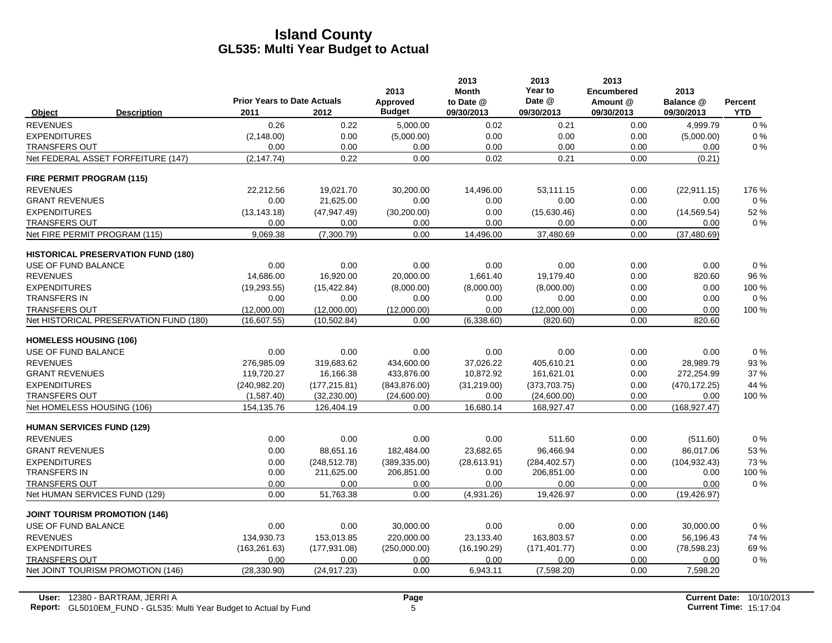|                                      |                                           |                                            |               | 2013                      | 2013<br><b>Month</b>    | 2013<br>Year to      | 2013<br><b>Encumbered</b> | 2013                    |                              |
|--------------------------------------|-------------------------------------------|--------------------------------------------|---------------|---------------------------|-------------------------|----------------------|---------------------------|-------------------------|------------------------------|
| Object                               | <b>Description</b>                        | <b>Prior Years to Date Actuals</b><br>2011 | 2012          | Approved<br><b>Budget</b> | to Date @<br>09/30/2013 | Date @<br>09/30/2013 | Amount @<br>09/30/2013    | Balance @<br>09/30/2013 | <b>Percent</b><br><b>YTD</b> |
| <b>REVENUES</b>                      |                                           | 0.26                                       | 0.22          | 5,000.00                  | 0.02                    | 0.21                 | 0.00                      | 4,999.79                | 0%                           |
| <b>EXPENDITURES</b>                  |                                           | (2, 148.00)                                | 0.00          | (5,000.00)                | 0.00                    | 0.00                 | 0.00                      | (5,000.00)              | 0%                           |
| <b>TRANSFERS OUT</b>                 |                                           | 0.00                                       | 0.00          | 0.00                      | 0.00                    | 0.00                 | 0.00                      | 0.00                    | $0\%$                        |
| Net FEDERAL ASSET FORFEITURE (147)   |                                           | (2, 147.74)                                | 0.22          | 0.00                      | 0.02                    | 0.21                 | 0.00                      | (0.21)                  |                              |
| <b>FIRE PERMIT PROGRAM (115)</b>     |                                           |                                            |               |                           |                         |                      |                           |                         |                              |
| <b>REVENUES</b>                      |                                           | 22,212.56                                  | 19,021.70     | 30,200.00                 | 14,496.00               | 53.111.15            | 0.00                      | (22, 911.15)            | 176 %                        |
| <b>GRANT REVENUES</b>                |                                           | 0.00                                       | 21,625.00     | 0.00                      | 0.00                    | 0.00                 | 0.00                      | 0.00                    | 0%                           |
| <b>EXPENDITURES</b>                  |                                           | (13, 143.18)                               | (47, 947, 49) | (30, 200.00)              | 0.00                    | (15,630.46)          | 0.00                      | (14, 569.54)            | 52 %                         |
| <b>TRANSFERS OUT</b>                 |                                           | 0.00                                       | 0.00          | 0.00                      | 0.00                    | 0.00                 | 0.00                      | 0.00                    | $0\%$                        |
| Net FIRE PERMIT PROGRAM (115)        |                                           | 9,069.38                                   | (7,300.79)    | 0.00                      | 14,496.00               | 37,480.69            | 0.00                      | (37, 480.69)            |                              |
|                                      | <b>HISTORICAL PRESERVATION FUND (180)</b> |                                            |               |                           |                         |                      |                           |                         |                              |
| USE OF FUND BALANCE                  |                                           | 0.00                                       | 0.00          | 0.00                      | 0.00                    | 0.00                 | 0.00                      | 0.00                    | 0%                           |
| <b>REVENUES</b>                      |                                           | 14,686.00                                  | 16,920.00     | 20,000.00                 | 1,661.40                | 19,179.40            | 0.00                      | 820.60                  | 96 %                         |
| <b>EXPENDITURES</b>                  |                                           | (19, 293.55)                               | (15, 422.84)  | (8,000.00)                | (8,000.00)              | (8,000.00)           | 0.00                      | 0.00                    | 100 %                        |
| <b>TRANSFERS IN</b>                  |                                           | 0.00                                       | 0.00          | 0.00                      | 0.00                    | 0.00                 | 0.00                      | 0.00                    | 0%                           |
| <b>TRANSFERS OUT</b>                 |                                           | (12,000.00)                                | (12,000.00)   | (12,000.00)               | 0.00                    | (12,000.00)          | 0.00                      | 0.00                    | 100 %                        |
|                                      | Net HISTORICAL PRESERVATION FUND (180)    | (16,607.55)                                | (10, 502.84)  | 0.00                      | (6,338.60)              | (820.60)             | 0.00                      | 820.60                  |                              |
| <b>HOMELESS HOUSING (106)</b>        |                                           |                                            |               |                           |                         |                      |                           |                         |                              |
| USE OF FUND BALANCE                  |                                           | 0.00                                       | 0.00          | 0.00                      | 0.00                    | 0.00                 | 0.00                      | 0.00                    | 0%                           |
| <b>REVENUES</b>                      |                                           | 276,985.09                                 | 319,683.62    | 434,600.00                | 37,026.22               | 405.610.21           | 0.00                      | 28,989.79               | 93 %                         |
| <b>GRANT REVENUES</b>                |                                           | 119,720.27                                 | 16,166.38     | 433,876.00                | 10,872.92               | 161,621.01           | 0.00                      | 272,254.99              | 37 %                         |
| <b>EXPENDITURES</b>                  |                                           | (240, 982.20)                              | (177, 215.81) | (843, 876.00)             | (31,219.00)             | (373,703.75)         | 0.00                      | (470, 172.25)           | 44 %                         |
| <b>TRANSFERS OUT</b>                 |                                           | (1,587.40)                                 | (32, 230.00)  | (24,600.00)               | 0.00                    | (24,600.00)          | 0.00                      | 0.00                    | 100 %                        |
| Net HOMELESS HOUSING (106)           |                                           | 154,135.76                                 | 126,404.19    | 0.00                      | 16,680.14               | 168,927.47           | 0.00                      | (168, 927.47)           |                              |
| <b>HUMAN SERVICES FUND (129)</b>     |                                           |                                            |               |                           |                         |                      |                           |                         |                              |
| <b>REVENUES</b>                      |                                           | 0.00                                       | 0.00          | 0.00                      | 0.00                    | 511.60               | 0.00                      | (511.60)                | 0%                           |
| <b>GRANT REVENUES</b>                |                                           | 0.00                                       | 88,651.16     | 182,484.00                | 23,682.65               | 96,466.94            | 0.00                      | 86,017.06               | 53 %                         |
| <b>EXPENDITURES</b>                  |                                           | 0.00                                       | (248, 512.78) | (389, 335.00)             | (28, 613.91)            | (284, 402.57)        | 0.00                      | (104, 932.43)           | 73%                          |
| <b>TRANSFERS IN</b>                  |                                           | 0.00                                       | 211,625.00    | 206,851.00                | 0.00                    | 206,851.00           | 0.00                      | 0.00                    | 100 %                        |
| <b>TRANSFERS OUT</b>                 |                                           | 0.00                                       | 0.00          | 0.00                      | 0.00                    | 0.00                 | 0.00                      | 0.00                    | 0%                           |
| Net HUMAN SERVICES FUND (129)        |                                           | 0.00                                       | 51,763.38     | 0.00                      | (4,931.26)              | 19,426.97            | 0.00                      | (19, 426.97)            |                              |
| <b>JOINT TOURISM PROMOTION (146)</b> |                                           |                                            |               |                           |                         |                      |                           |                         |                              |
| USE OF FUND BALANCE                  |                                           | 0.00                                       | 0.00          | 30,000.00                 | 0.00                    | 0.00                 | 0.00                      | 30,000.00               | 0%                           |
| <b>REVENUES</b>                      |                                           | 134,930.73                                 | 153,013.85    | 220,000.00                | 23,133.40               | 163.803.57           | 0.00                      | 56,196.43               | 74 %                         |
| <b>EXPENDITURES</b>                  |                                           | (163, 261.63)                              | (177, 931.08) | (250,000.00)              | (16, 190.29)            | (171, 401.77)        | 0.00                      | (78, 598.23)            | 69%                          |
| <b>TRANSFERS OUT</b>                 |                                           | 0.00                                       | 0.00          | 0.00                      | 0.00                    | 0.00                 | 0.00                      | 0.00                    | $0\%$                        |
| Net JOINT TOURISM PROMOTION (146)    |                                           | (28, 330.90)                               | (24, 917.23)  | 0.00                      | 6,943.11                | (7,598.20)           | 0.00                      | 7,598.20                |                              |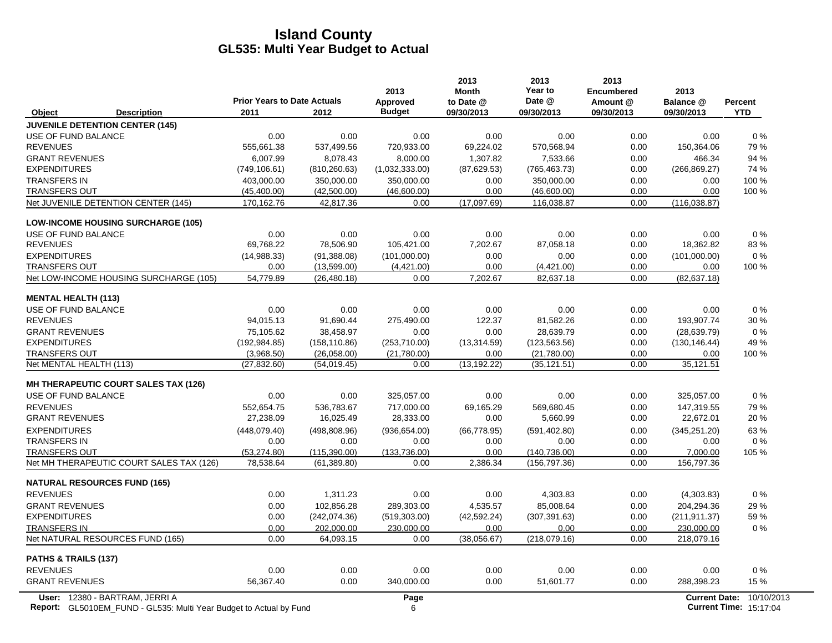|                                                                                                             | <b>Prior Years to Date Actuals</b> |               | 2013<br>Approved | 2013<br><b>Month</b><br>to Date @ | 2013<br>Year to<br>Date @ | 2013<br><b>Encumbered</b><br>Amount @ | 2013<br>Balance @ | <b>Percent</b>                                            |
|-------------------------------------------------------------------------------------------------------------|------------------------------------|---------------|------------------|-----------------------------------|---------------------------|---------------------------------------|-------------------|-----------------------------------------------------------|
| Object<br><b>Description</b>                                                                                | 2011                               | 2012          | <b>Budget</b>    | 09/30/2013                        | 09/30/2013                | 09/30/2013                            | 09/30/2013        | <b>YTD</b>                                                |
| <b>JUVENILE DETENTION CENTER (145)</b>                                                                      |                                    |               |                  |                                   |                           |                                       |                   |                                                           |
| USE OF FUND BALANCE                                                                                         | 0.00                               | 0.00          | 0.00             | 0.00                              | 0.00                      | 0.00                                  | 0.00              | 0%                                                        |
| <b>REVENUES</b>                                                                                             | 555,661.38                         | 537,499.56    | 720,933.00       | 69,224.02                         | 570,568.94                | 0.00                                  | 150,364.06        | 79%                                                       |
| <b>GRANT REVENUES</b>                                                                                       | 6,007.99                           | 8,078.43      | 8.000.00         | 1,307.82                          | 7.533.66                  | 0.00                                  | 466.34            | 94 %                                                      |
| <b>EXPENDITURES</b>                                                                                         | (749, 106.61)                      | (810, 260.63) | (1,032,333.00)   | (87, 629.53)                      | (765, 463.73)             | 0.00                                  | (266, 869.27)     | 74 %                                                      |
| <b>TRANSFERS IN</b>                                                                                         | 403,000.00                         | 350,000.00    | 350,000.00       | 0.00                              | 350,000.00                | 0.00                                  | 0.00              | 100 %                                                     |
| <b>TRANSFERS OUT</b>                                                                                        | (45, 400.00)                       | (42,500.00)   | (46,600.00)      | 0.00                              | (46,600.00)               | 0.00                                  | 0.00              | 100 %                                                     |
| Net JUVENILE DETENTION CENTER (145)                                                                         | 170,162.76                         | 42,817.36     | 0.00             | (17,097.69)                       | 116,038.87                | 0.00                                  | (116, 038.87)     |                                                           |
| <b>LOW-INCOME HOUSING SURCHARGE (105)</b>                                                                   |                                    |               |                  |                                   |                           |                                       |                   |                                                           |
| USE OF FUND BALANCE                                                                                         | 0.00                               | 0.00          | 0.00             | 0.00                              | 0.00                      | 0.00                                  | 0.00              | 0%                                                        |
| <b>REVENUES</b>                                                                                             | 69,768.22                          | 78,506.90     | 105,421.00       | 7,202.67                          | 87,058.18                 | 0.00                                  | 18,362.82         | 83%                                                       |
| <b>EXPENDITURES</b>                                                                                         | (14,988.33)                        | (91, 388.08)  | (101,000.00)     | 0.00                              | 0.00                      | 0.00                                  | (101,000.00)      | 0%                                                        |
| <b>TRANSFERS OUT</b>                                                                                        | 0.00                               | (13,599.00)   | (4,421.00)       | 0.00                              | (4,421.00)                | 0.00                                  | 0.00              | 100 %                                                     |
| Net LOW-INCOME HOUSING SURCHARGE (105)                                                                      | 54,779.89                          | (26, 480.18)  | 0.00             | 7,202.67                          | 82,637.18                 | 0.00                                  | (82, 637, 18)     |                                                           |
| <b>MENTAL HEALTH (113)</b>                                                                                  |                                    |               |                  |                                   |                           |                                       |                   |                                                           |
| USE OF FUND BALANCE                                                                                         | 0.00                               | 0.00          | 0.00             | 0.00                              | 0.00                      | 0.00                                  | 0.00              | $0\%$                                                     |
| <b>REVENUES</b>                                                                                             | 94,015.13                          | 91,690.44     | 275,490.00       | 122.37                            | 81,582.26                 | 0.00                                  | 193,907.74        | 30 %                                                      |
| <b>GRANT REVENUES</b>                                                                                       | 75,105.62                          | 38,458.97     | 0.00             | 0.00                              | 28,639.79                 | 0.00                                  | (28, 639.79)      | 0%                                                        |
| <b>EXPENDITURES</b>                                                                                         | (192, 984.85)                      | (158, 110.86) | (253,710.00)     | (13, 314.59)                      | (123, 563.56)             | 0.00                                  | (130, 146.44)     | 49 %                                                      |
| <b>TRANSFERS OUT</b>                                                                                        | (3,968.50)                         | (26,058.00)   | (21,780.00)      | 0.00                              | (21,780.00)               | 0.00                                  | 0.00              | 100 %                                                     |
| Net MENTAL HEALTH (113)                                                                                     | (27, 832.60)                       | (54, 019.45)  | 0.00             | (13, 192.22)                      | (35, 121.51)              | 0.00                                  | 35,121.51         |                                                           |
| <b>MH THERAPEUTIC COURT SALES TAX (126)</b>                                                                 |                                    |               |                  |                                   |                           |                                       |                   |                                                           |
| USE OF FUND BALANCE                                                                                         | 0.00                               | 0.00          | 325,057.00       | 0.00                              | 0.00                      | 0.00                                  | 325,057.00        | 0%                                                        |
| <b>REVENUES</b>                                                                                             | 552,654.75                         | 536,783.67    | 717,000.00       | 69,165.29                         | 569,680.45                | 0.00                                  | 147,319.55        | 79%                                                       |
| <b>GRANT REVENUES</b>                                                                                       | 27,238.09                          | 16,025.49     | 28,333.00        | 0.00                              | 5,660.99                  | 0.00                                  | 22,672.01         | 20%                                                       |
| <b>EXPENDITURES</b>                                                                                         | (448,079.40)                       | (498, 808.96) | (936, 654.00)    | (66, 778.95)                      | (591, 402.80)             | 0.00                                  | (345, 251.20)     | 63%                                                       |
| <b>TRANSFERS IN</b>                                                                                         | 0.00                               | 0.00          | 0.00             | 0.00                              | 0.00                      | 0.00                                  | 0.00              | 0%                                                        |
| <b>TRANSFERS OUT</b>                                                                                        | (53, 274.80)                       | (115, 390.00) | (133, 736.00)    | 0.00                              | (140, 736.00)             | 0.00                                  | 7,000.00          | 105 %                                                     |
| Net MH THERAPEUTIC COURT SALES TAX (126)                                                                    | 78,538.64                          | (61, 389.80)  | 0.00             | 2,386.34                          | (156, 797.36)             | 0.00                                  | 156,797.36        |                                                           |
| <b>NATURAL RESOURCES FUND (165)</b>                                                                         |                                    |               |                  |                                   |                           |                                       |                   |                                                           |
| <b>REVENUES</b>                                                                                             | 0.00                               | 1,311.23      | 0.00             | 0.00                              | 4,303.83                  | 0.00                                  | (4,303.83)        | 0%                                                        |
| <b>GRANT REVENUES</b>                                                                                       | 0.00                               | 102,856.28    | 289,303.00       | 4,535.57                          | 85,008.64                 | 0.00                                  | 204,294.36        | 29 %                                                      |
| <b>EXPENDITURES</b>                                                                                         | 0.00                               | (242, 074.36) | (519, 303.00)    | (42, 592.24)                      | (307, 391.63)             | 0.00                                  | (211, 911.37)     | 59%                                                       |
| <b>TRANSFERS IN</b>                                                                                         | 0.00                               | 202,000.00    | 230,000.00       | 0.00                              | 0.00                      | 0.00                                  | 230,000.00        | $0\%$                                                     |
| Net NATURAL RESOURCES FUND (165)                                                                            | 0.00                               | 64,093.15     | 0.00             | (38,056.67)                       | (218,079.16)              | 0.00                                  | 218,079.16        |                                                           |
| PATHS & TRAILS (137)                                                                                        |                                    |               |                  |                                   |                           |                                       |                   |                                                           |
| <b>REVENUES</b>                                                                                             | 0.00                               | 0.00          | 0.00             | 0.00                              | 0.00                      | 0.00                                  | 0.00              | $0\%$                                                     |
| <b>GRANT REVENUES</b>                                                                                       | 56.367.40                          | 0.00          | 340,000.00       | 0.00                              | 51,601.77                 | 0.00                                  | 288,398.23        | 15 %                                                      |
| User: 12380 - BARTRAM, JERRI A<br><b>Report:</b> GL5010EM FUND - GL535: Multi Year Budget to Actual by Fund |                                    |               | Page<br>6        |                                   |                           |                                       |                   | Current Date: 10/10/2013<br><b>Current Time: 15:17:04</b> |

**Report:** 6 **Current Time:** GL5010EM\_FUND - GL535: Multi Year Budget to Actual by Fund 15:17:04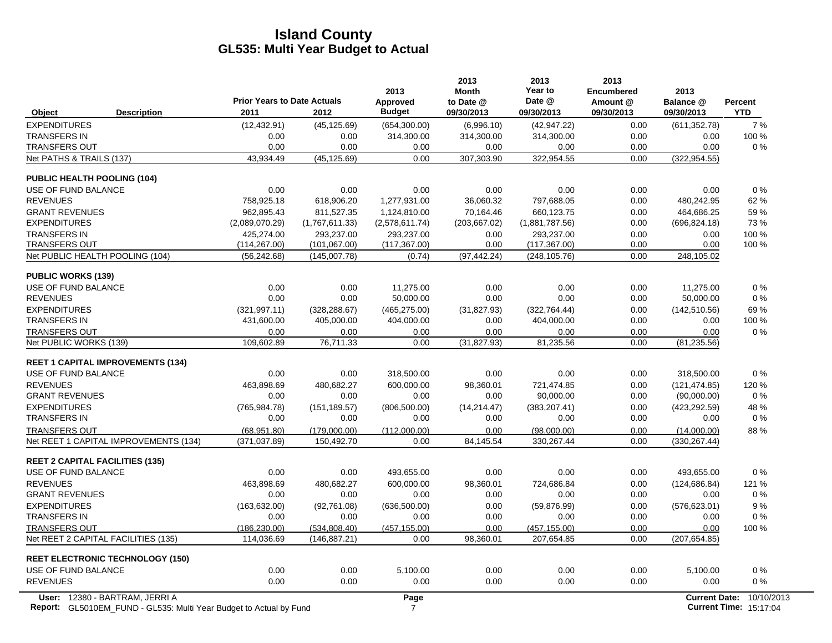|                                                | <b>Prior Years to Date Actuals</b> |                                | 2013<br>Approved      | 2013<br><b>Month</b><br>to Date @ | 2013<br>Year to<br>Date @   | 2013<br><b>Encumbered</b><br>Amount @ | 2013<br>Balance @     | Percent    |
|------------------------------------------------|------------------------------------|--------------------------------|-----------------------|-----------------------------------|-----------------------------|---------------------------------------|-----------------------|------------|
| <b>Description</b><br>Object                   | 2011                               | 2012                           | <b>Budget</b>         | 09/30/2013                        | 09/30/2013                  | 09/30/2013                            | 09/30/2013            | <b>YTD</b> |
| <b>EXPENDITURES</b>                            | (12, 432.91)                       | (45, 125.69)                   | (654, 300.00)         | (6,996.10)                        | (42, 947.22)                | 0.00                                  | (611, 352.78)         | 7%         |
| <b>TRANSFERS IN</b>                            | 0.00                               | 0.00                           | 314,300.00            | 314,300.00                        | 314,300.00                  | 0.00                                  | 0.00                  | 100 %      |
| <b>TRANSFERS OUT</b>                           | 0.00                               | 0.00                           | 0.00                  | 0.00                              | 0.00                        | 0.00                                  | 0.00                  | 0%         |
| Net PATHS & TRAILS (137)                       | 43,934.49                          | (45, 125.69)                   | 0.00                  | 307,303.90                        | 322,954.55                  | 0.00                                  | (322, 954.55)         |            |
| <b>PUBLIC HEALTH POOLING (104)</b>             |                                    |                                |                       |                                   |                             |                                       |                       |            |
| USE OF FUND BALANCE                            | 0.00                               | 0.00                           | 0.00                  | 0.00                              | 0.00                        | 0.00                                  | 0.00                  | 0%         |
| <b>REVENUES</b>                                | 758.925.18                         | 618.906.20                     | 1,277,931.00          | 36.060.32                         | 797.688.05                  | 0.00                                  | 480.242.95            | 62%        |
| <b>GRANT REVENUES</b>                          | 962.895.43                         | 811.527.35                     | 1.124.810.00          | 70.164.46                         | 660.123.75                  | 0.00                                  | 464,686.25            | 59%        |
| <b>EXPENDITURES</b>                            | (2,089,070.29)                     | (1,767,611.33)                 | (2,578,611.74)        | (203, 667.02)                     | (1,881,787.56)              | 0.00                                  | (696, 824.18)         | 73%        |
| <b>TRANSFERS IN</b>                            | 425,274.00                         | 293,237.00                     | 293,237.00            | 0.00                              | 293,237.00                  | 0.00                                  | 0.00                  | 100 %      |
| <b>TRANSFERS OUT</b>                           | (114, 267.00)                      | (101, 067.00)                  | (117, 367.00)         | 0.00                              | (117, 367.00)               | 0.00                                  | 0.00                  | 100 %      |
| Net PUBLIC HEALTH POOLING (104)                | (56, 242.68)                       | (145,007.78)                   | (0.74)                | (97, 442.24)                      | (248, 105.76)               | 0.00                                  | 248,105.02            |            |
| <b>PUBLIC WORKS (139)</b>                      |                                    |                                |                       |                                   |                             |                                       |                       |            |
| USE OF FUND BALANCE                            | 0.00                               | 0.00                           | 11,275.00             | 0.00                              | 0.00                        | 0.00                                  | 11.275.00             | 0%         |
| <b>REVENUES</b>                                | 0.00                               | 0.00                           | 50.000.00             | 0.00                              | 0.00                        | 0.00                                  | 50,000.00             | 0%         |
| <b>EXPENDITURES</b>                            | (321, 997.11)                      | (328, 288.67)                  | (465, 275.00)         | (31, 827.93)                      | (322, 764.44)               | 0.00                                  | (142, 510.56)         | 69%        |
| <b>TRANSFERS IN</b>                            | 431,600.00                         | 405,000.00                     | 404,000.00            | 0.00                              | 404,000.00                  | 0.00                                  | 0.00                  | 100 %      |
| <b>TRANSFERS OUT</b><br>Net PUBLIC WORKS (139) | 0.00<br>109,602.89                 | 0.00<br>76,711.33              | 0.00<br>0.00          | 0.00<br>(31, 827.93)              | 0.00<br>81,235.56           | 0.00<br>0.00                          | 0.00<br>(81, 235.56)  | 0%         |
|                                                |                                    |                                |                       |                                   |                             |                                       |                       |            |
| <b>REET 1 CAPITAL IMPROVEMENTS (134)</b>       |                                    |                                |                       |                                   |                             |                                       |                       |            |
| USE OF FUND BALANCE                            | 0.00                               | 0.00                           | 318,500.00            | 0.00                              | 0.00                        | 0.00                                  | 318,500.00            | 0%         |
| <b>REVENUES</b>                                | 463,898.69                         | 480,682.27                     | 600,000.00            | 98,360.01                         | 721,474.85                  | 0.00                                  | (121, 474.85)         | 120 %      |
| <b>GRANT REVENUES</b>                          | 0.00                               | 0.00                           | 0.00                  | 0.00                              | 90,000.00                   | 0.00                                  | (90,000.00)           | $0\%$      |
| <b>EXPENDITURES</b>                            | (765, 984.78)                      | (151, 189.57)                  | (806, 500.00)         | (14, 214.47)                      | (383, 207.41)               | 0.00                                  | (423, 292.59)         | 48 %       |
| <b>TRANSFERS IN</b>                            | 0.00                               | 0.00                           | 0.00                  | 0.00                              | 0.00                        | 0.00                                  | 0.00                  | 0%         |
| <b>TRANSFERS OUT</b>                           | (68.951.80)                        | (179.000.00)                   | (112.000.00)          | 0.00                              | (98.000.00)                 | 0.00                                  | (14,000.00)           | 88%        |
| Net REET 1 CAPITAL IMPROVEMENTS (134)          | (371, 037.89)                      | 150,492.70                     | 0.00                  | 84,145.54                         | 330,267.44                  | 0.00                                  | (330, 267.44)         |            |
| <b>REET 2 CAPITAL FACILITIES (135)</b>         |                                    |                                |                       |                                   |                             |                                       |                       |            |
| USE OF FUND BALANCE                            | 0.00                               | 0.00                           | 493,655.00            | 0.00                              | 0.00                        | 0.00                                  | 493,655.00            | 0%         |
| <b>REVENUES</b>                                | 463.898.69                         | 480.682.27                     | 600,000.00            | 98,360.01                         | 724,686.84                  | 0.00                                  | (124, 686.84)         | 121 %      |
| <b>GRANT REVENUES</b>                          | 0.00                               | 0.00                           | 0.00                  | 0.00                              | 0.00                        | 0.00                                  | 0.00                  | 0%         |
| <b>EXPENDITURES</b><br><b>TRANSFERS IN</b>     | (163, 632.00)<br>0.00              | (92,761.08)<br>0.00            | (636, 500.00)<br>0.00 | 0.00                              | (59, 876.99)<br>0.00        | 0.00                                  | (576, 623.01)<br>0.00 | 9%<br>0%   |
| <b>TRANSFERS OUT</b>                           |                                    |                                |                       | 0.00<br>0.00                      |                             | 0.00<br>0.00                          | 0.00                  | 100 %      |
| Net REET 2 CAPITAL FACILITIES (135)            | (186, 230.00)<br>114,036.69        | (534, 808.40)<br>(146, 887.21) | (457, 155.00)<br>0.00 | 98,360.01                         | (457, 155.00)<br>207,654.85 | 0.00                                  | (207, 654.85)         |            |
|                                                |                                    |                                |                       |                                   |                             |                                       |                       |            |
| <b>REET ELECTRONIC TECHNOLOGY (150)</b>        |                                    |                                |                       |                                   |                             |                                       |                       |            |
| USE OF FUND BALANCE                            | 0.00                               | 0.00                           | 5,100.00              | 0.00                              | 0.00                        | 0.00                                  | 5,100.00              | 0%         |
| <b>REVENUES</b>                                | 0.00                               | 0.00                           | 0.00                  | 0.00                              | 0.00                        | 0.00                                  | 0.00                  | 0%         |
| User: 12380 - BARTRAM, JERRI A                 |                                    |                                | Page                  |                                   |                             |                                       | <b>Current Date:</b>  | 10/10/2013 |

**Report:** 7 **Current Time:** GL5010EM\_FUND - GL535: Multi Year Budget to Actual by Fund 15:17:04 15:17:04 15:17:04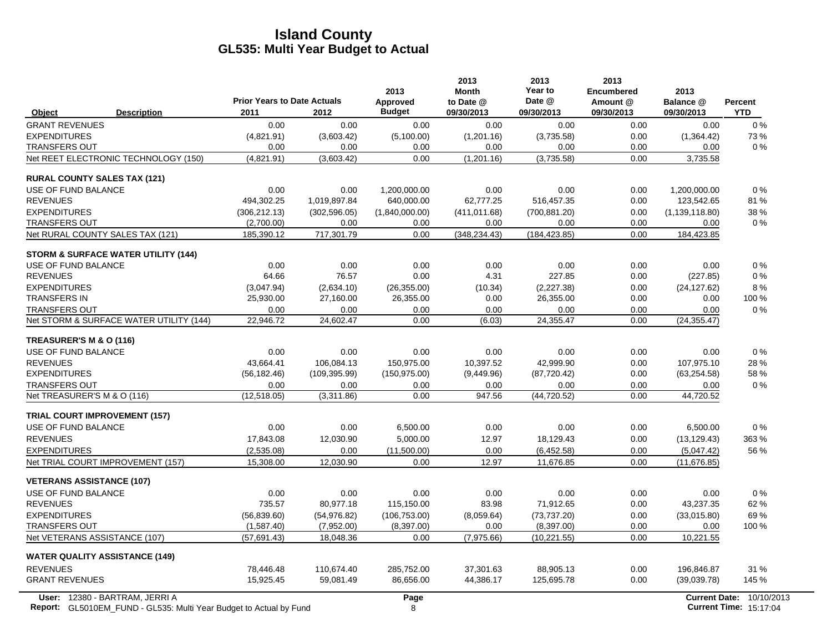|                                                                           | <b>Prior Years to Date Actuals</b> |               | 2013<br>Approved | 2013<br><b>Month</b><br>to Date @ | 2013<br>Year to<br>Date @ | 2013<br><b>Encumbered</b><br>Amount @ | 2013<br>Balance @ | <b>Percent</b>                |
|---------------------------------------------------------------------------|------------------------------------|---------------|------------------|-----------------------------------|---------------------------|---------------------------------------|-------------------|-------------------------------|
| Object<br><b>Description</b>                                              | 2011                               | 2012          | <b>Budget</b>    | 09/30/2013                        | 09/30/2013                | 09/30/2013                            | 09/30/2013        | <b>YTD</b>                    |
| <b>GRANT REVENUES</b>                                                     | 0.00                               | 0.00          | 0.00             | 0.00                              | 0.00                      | 0.00                                  | 0.00              | $0\%$                         |
| <b>EXPENDITURES</b>                                                       | (4,821.91)                         | (3,603.42)    | (5,100.00)       | (1,201.16)                        | (3,735.58)                | 0.00                                  | (1,364.42)        | 73%                           |
| <b>TRANSFERS OUT</b>                                                      | 0.00                               | 0.00          | 0.00             | 0.00                              | 0.00                      | 0.00                                  | 0.00              | $0\%$                         |
| Net REET ELECTRONIC TECHNOLOGY (150)                                      | (4,821.91)                         | (3,603.42)    | 0.00             | (1,201.16)                        | (3,735.58)                | 0.00                                  | 3,735.58          |                               |
| <b>RURAL COUNTY SALES TAX (121)</b>                                       |                                    |               |                  |                                   |                           |                                       |                   |                               |
| USE OF FUND BALANCE                                                       | 0.00                               | 0.00          | 1.200.000.00     | 0.00                              | 0.00                      | 0.00                                  | 1,200,000.00      | 0%                            |
| <b>REVENUES</b>                                                           | 494,302.25                         | 1,019,897.84  | 640,000.00       | 62,777.25                         | 516,457.35                | 0.00                                  | 123,542.65        | 81%                           |
| <b>EXPENDITURES</b>                                                       | (306, 212.13)                      | (302, 596.05) | (1,840,000.00)   | (411.011.68)                      | (700, 881.20)             | 0.00                                  | (1, 139, 118.80)  | 38 %                          |
| <b>TRANSFERS OUT</b>                                                      | (2,700.00)                         | 0.00          | 0.00             | 0.00                              | 0.00                      | 0.00                                  | 0.00              | $0\%$                         |
| Net RURAL COUNTY SALES TAX (121)                                          | 185,390.12                         | 717,301.79    | 0.00             | (348, 234.43)                     | (184, 423.85)             | 0.00                                  | 184,423.85        |                               |
| <b>STORM &amp; SURFACE WATER UTILITY (144)</b>                            |                                    |               |                  |                                   |                           |                                       |                   |                               |
| USE OF FUND BALANCE                                                       | 0.00                               | 0.00          | 0.00             | 0.00                              | 0.00                      | 0.00                                  | 0.00              | $0\%$                         |
| <b>REVENUES</b>                                                           | 64.66                              | 76.57         | 0.00             | 4.31                              | 227.85                    | 0.00                                  | (227.85)          | $0\%$                         |
| <b>EXPENDITURES</b>                                                       | (3,047.94)                         | (2,634.10)    | (26, 355.00)     | (10.34)                           | (2,227.38)                | 0.00                                  | (24, 127.62)      | 8%                            |
| <b>TRANSFERS IN</b>                                                       | 25,930.00                          | 27,160.00     | 26,355.00        | 0.00                              | 26,355.00                 | 0.00                                  | 0.00              | 100 %                         |
| <b>TRANSFERS OUT</b>                                                      | 0.00                               | 0.00          | 0.00             | 0.00                              | 0.00                      | 0.00                                  | 0.00              | $0\%$                         |
| Net STORM & SURFACE WATER UTILITY (144)                                   | 22,946.72                          | 24,602.47     | 0.00             | (6.03)                            | 24,355.47                 | 0.00                                  | (24, 355.47)      |                               |
| TREASURER'S M & O (116)                                                   |                                    |               |                  |                                   |                           |                                       |                   |                               |
| USE OF FUND BALANCE                                                       | 0.00                               | 0.00          | 0.00             | 0.00                              | 0.00                      | 0.00                                  | 0.00              | 0%                            |
| <b>REVENUES</b>                                                           | 43,664.41                          | 106,084.13    | 150,975.00       | 10,397.52                         | 42.999.90                 | 0.00                                  | 107,975.10        | 28%                           |
| <b>EXPENDITURES</b>                                                       | (56, 182.46)                       | (109, 395.99) | (150, 975.00)    | (9,449.96)                        | (87, 720.42)              | 0.00                                  | (63, 254.58)      | 58 %                          |
| <b>TRANSFERS OUT</b>                                                      | 0.00                               | 0.00          | 0.00             | 0.00                              | 0.00                      | 0.00                                  | 0.00              | $0\%$                         |
| Net TREASURER'S M & O (116)                                               | (12,518.05)                        | (3,311.86)    | 0.00             | 947.56                            | (44, 720.52)              | 0.00                                  | 44,720.52         |                               |
| <b>TRIAL COURT IMPROVEMENT (157)</b>                                      |                                    |               |                  |                                   |                           |                                       |                   |                               |
| USE OF FUND BALANCE                                                       | 0.00                               | 0.00          | 6,500.00         | 0.00                              | 0.00                      | 0.00                                  | 6,500.00          | 0%                            |
| <b>REVENUES</b>                                                           | 17.843.08                          | 12.030.90     | 5.000.00         | 12.97                             | 18.129.43                 | 0.00                                  | (13, 129.43)      | 363 %                         |
| <b>EXPENDITURES</b>                                                       | (2,535.08)                         | 0.00          | (11,500.00)      | 0.00                              | (6,452.58)                | 0.00                                  | (5,047.42)        | 56 %                          |
| Net TRIAL COURT IMPROVEMENT (157)                                         | 15,308.00                          | 12,030.90     | 0.00             | 12.97                             | 11,676.85                 | 0.00                                  | (11.676.85)       |                               |
| <b>VETERANS ASSISTANCE (107)</b>                                          |                                    |               |                  |                                   |                           |                                       |                   |                               |
| USE OF FUND BALANCE                                                       | 0.00                               | 0.00          | 0.00             | 0.00                              | 0.00                      | 0.00                                  | 0.00              | 0%                            |
| <b>REVENUES</b>                                                           | 735.57                             | 80,977.18     | 115,150.00       | 83.98                             | 71,912.65                 | 0.00                                  | 43,237.35         | 62%                           |
| <b>EXPENDITURES</b>                                                       | (56, 839.60)                       | (54, 976.82)  | (106, 753.00)    | (8,059.64)                        | (73, 737.20)              | 0.00                                  | (33,015.80)       | 69%                           |
| <b>TRANSFERS OUT</b>                                                      | (1,587.40)                         | (7,952.00)    | (8,397.00)       | 0.00                              | (8,397.00)                | 0.00                                  | 0.00              | 100 %                         |
| Net VETERANS ASSISTANCE (107)                                             | (57,691.43)                        | 18,048.36     | 0.00             | (7,975.66)                        | (10, 221.55)              | 0.00                                  | 10,221.55         |                               |
| <b>WATER QUALITY ASSISTANCE (149)</b>                                     |                                    |               |                  |                                   |                           |                                       |                   |                               |
| <b>REVENUES</b>                                                           | 78,446.48                          | 110,674.40    | 285,752.00       | 37,301.63                         | 88,905.13                 | 0.00                                  | 196,846.87        | 31 %                          |
| <b>GRANT REVENUES</b>                                                     | 15,925.45                          | 59,081.49     | 86,656.00        | 44,386.17                         | 125,695.78                | 0.00                                  | (39,039.78)       | 145 %                         |
| User: 12380 - BARTRAM, JERRI A                                            |                                    |               | Page             |                                   |                           |                                       |                   | Current Date: 10/10/2013      |
| <b>Report:</b> GL5010EM_FUND - GL535: Multi Year Budget to Actual by Fund |                                    |               | 8                |                                   |                           |                                       |                   | <b>Current Time: 15:17:04</b> |

 $\overline{\phantom{a}}$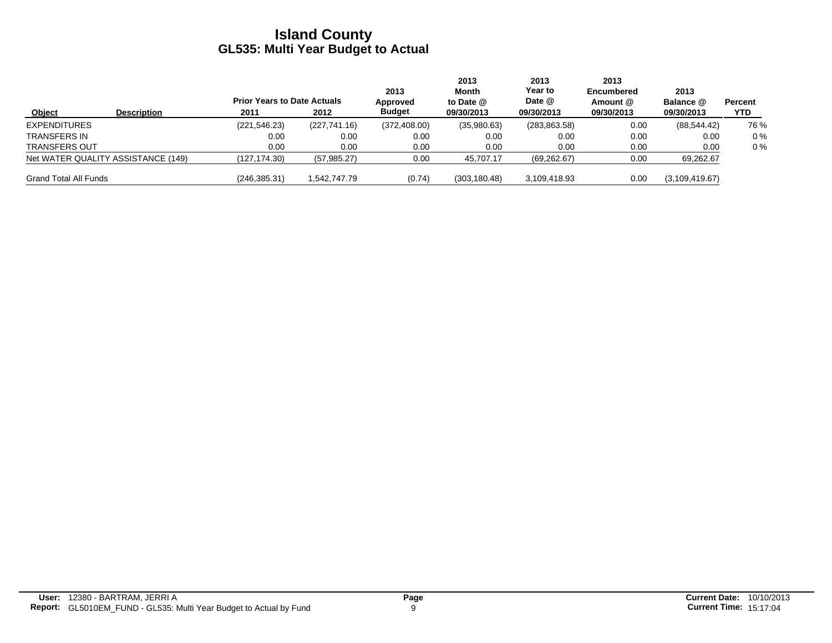|                                    | <b>Prior Years to Date Actuals</b> |               | 2013<br>Approved | 2013<br>Month<br>to Date @ | 2013<br>Year to<br>Date @ | 2013<br><b>Encumbered</b><br>Amount @ | 2013<br>Balance @ | Percent |
|------------------------------------|------------------------------------|---------------|------------------|----------------------------|---------------------------|---------------------------------------|-------------------|---------|
| Object<br><b>Description</b>       | 2011                               | 2012          | <b>Budget</b>    | 09/30/2013                 | 09/30/2013                | 09/30/2013                            | 09/30/2013        | YTD.    |
| <b>EXPENDITURES</b>                | (221, 546.23)                      | (227, 741.16) | (372, 408.00)    | (35,980.63)                | (283, 863.58)             | 0.00                                  | (88, 544.42)      | 76 %    |
| <b>TRANSFERS IN</b>                | 0.00                               | 0.00          | 0.00             | 0.00                       | 0.00                      | 0.00                                  | 0.00              | $0\%$   |
| <b>TRANSFERS OUT</b>               | 0.00                               | 0.00          | 0.00             | 0.00                       | 0.00                      | 0.00                                  | 0.00              | $0\%$   |
| Net WATER QUALITY ASSISTANCE (149) | (127.174.30)                       | (57, 985.27)  | 0.00             | 45,707.17                  | (69, 262.67)              | 0.00                                  | 69,262.67         |         |
| <b>Grand Total All Funds</b>       | (246, 385.31)                      | 1,542,747.79  | (0.74)           | (303, 180.48)              | 3.109.418.93              | 0.00                                  | (3, 109, 419.67)  |         |